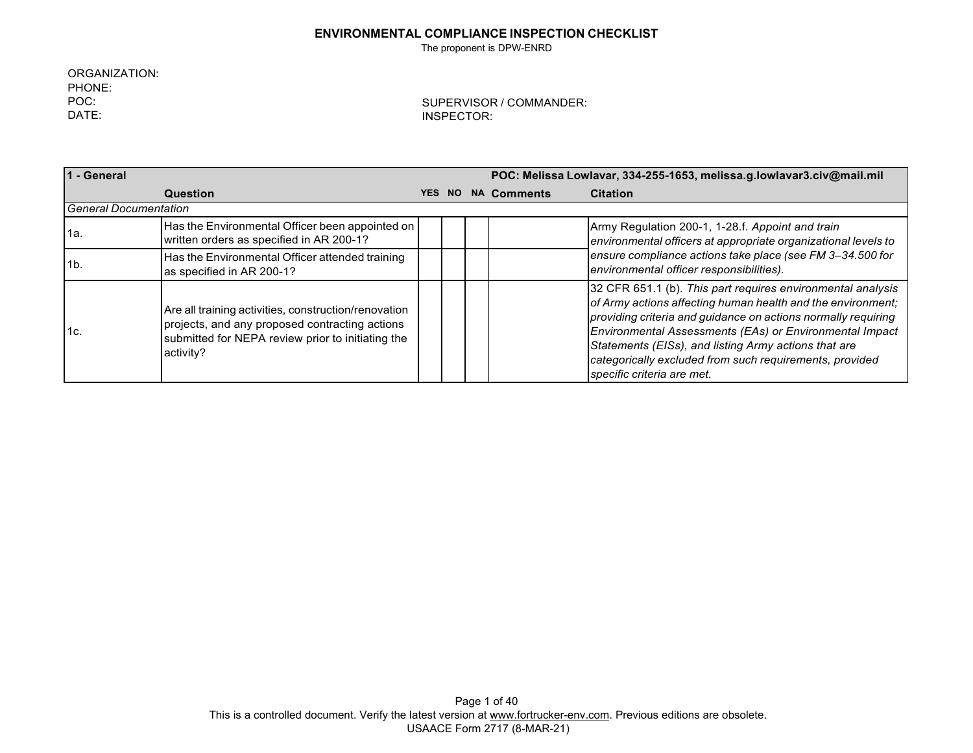The proponent is DPW-ENRD

ORGANIZATION: PHONE: POC: DATE:

| 1 - General                  |                                                                                                                                                                          | POC: Melissa Lowlavar, 334-255-1653, melissa.g.lowlavar3.civ@mail.mil |     |  |                    |                                                                                                                                                                                                                                                                                                                                                                                                         |
|------------------------------|--------------------------------------------------------------------------------------------------------------------------------------------------------------------------|-----------------------------------------------------------------------|-----|--|--------------------|---------------------------------------------------------------------------------------------------------------------------------------------------------------------------------------------------------------------------------------------------------------------------------------------------------------------------------------------------------------------------------------------------------|
|                              | Question                                                                                                                                                                 | <b>YES</b>                                                            | NO. |  | <b>NA Comments</b> | <b>Citation</b>                                                                                                                                                                                                                                                                                                                                                                                         |
| <b>General Documentation</b> |                                                                                                                                                                          |                                                                       |     |  |                    |                                                                                                                                                                                                                                                                                                                                                                                                         |
| 1a.                          | Has the Environmental Officer been appointed on<br>written orders as specified in AR 200-1?                                                                              |                                                                       |     |  |                    | Army Regulation 200-1, 1-28.f. Appoint and train<br>environmental officers at appropriate organizational levels to                                                                                                                                                                                                                                                                                      |
| 1 <sub>b</sub>               | Has the Environmental Officer attended training<br>as specified in AR 200-1?                                                                                             |                                                                       |     |  |                    | ensure compliance actions take place (see FM 3-34.500 for<br>environmental officer responsibilities).                                                                                                                                                                                                                                                                                                   |
| 1c.                          | Are all training activities, construction/renovation<br>projects, and any proposed contracting actions<br>submitted for NEPA review prior to initiating the<br>activity? |                                                                       |     |  |                    | 32 CFR 651.1 (b). This part requires environmental analysis<br>of Army actions affecting human health and the environment;<br>providing criteria and guidance on actions normally requiring<br>Environmental Assessments (EAs) or Environmental Impact<br>Statements (EISs), and listing Army actions that are<br>categorically excluded from such requirements, provided<br>specific criteria are met. |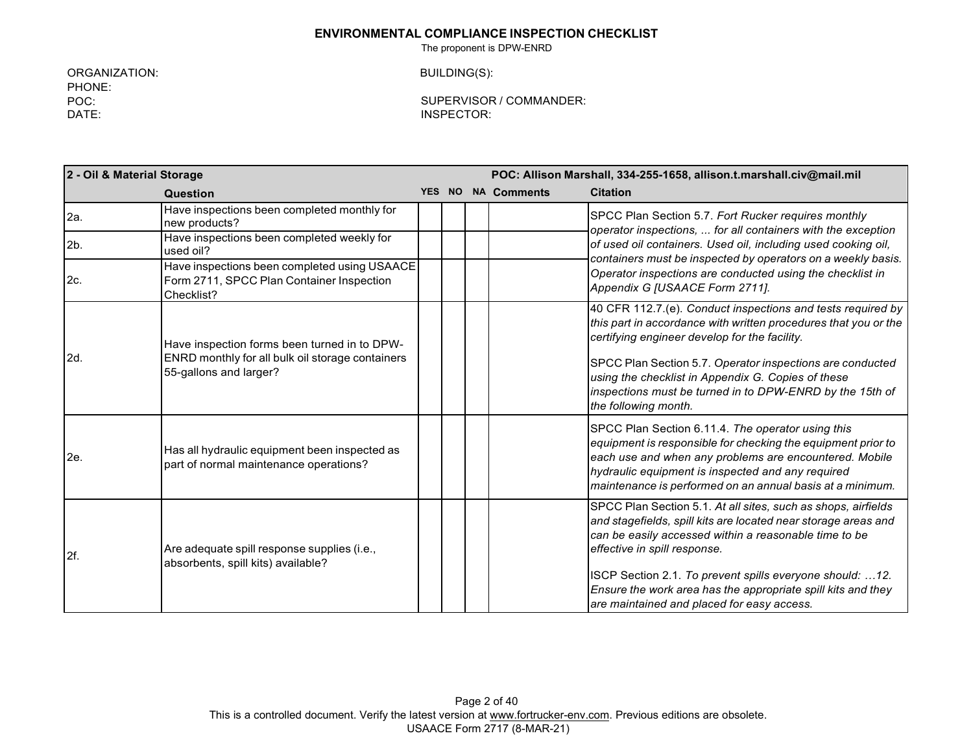The proponent is DPW-ENRD

ORGANIZATION: PHONE: POC: DATE:

BUILDING(S):

| 2 - Oil & Material Storage |                                                                                                                            | POC: Allison Marshall, 334-255-1658, allison.t.marshall.civ@mail.mil |           |  |                    |                                                                                                                                                                                                                                                                                                                                                                                                    |
|----------------------------|----------------------------------------------------------------------------------------------------------------------------|----------------------------------------------------------------------|-----------|--|--------------------|----------------------------------------------------------------------------------------------------------------------------------------------------------------------------------------------------------------------------------------------------------------------------------------------------------------------------------------------------------------------------------------------------|
|                            | Question                                                                                                                   | <b>YES</b>                                                           | <b>NO</b> |  | <b>NA Comments</b> | <b>Citation</b>                                                                                                                                                                                                                                                                                                                                                                                    |
| 2a.                        | Have inspections been completed monthly for<br>new products?                                                               |                                                                      |           |  |                    | SPCC Plan Section 5.7. Fort Rucker requires monthly<br>operator inspections,  for all containers with the exception                                                                                                                                                                                                                                                                                |
| $2b$ .                     | Have inspections been completed weekly for<br>used oil?                                                                    |                                                                      |           |  |                    | of used oil containers. Used oil, including used cooking oil,<br>containers must be inspected by operators on a weekly basis.                                                                                                                                                                                                                                                                      |
| 2c.                        | Have inspections been completed using USAACE<br>Form 2711, SPCC Plan Container Inspection<br>Checklist?                    |                                                                      |           |  |                    | Operator inspections are conducted using the checklist in<br>Appendix G [USAACE Form 2711].                                                                                                                                                                                                                                                                                                        |
| 2d.                        | Have inspection forms been turned in to DPW-<br>ENRD monthly for all bulk oil storage containers<br>55-gallons and larger? |                                                                      |           |  |                    | 40 CFR 112.7.(e). Conduct inspections and tests required by<br>this part in accordance with written procedures that you or the<br>certifying engineer develop for the facility.<br>SPCC Plan Section 5.7. Operator inspections are conducted<br>using the checklist in Appendix G. Copies of these<br>inspections must be turned in to DPW-ENRD by the 15th of<br>the following month.             |
| 2e.                        | Has all hydraulic equipment been inspected as<br>part of normal maintenance operations?                                    |                                                                      |           |  |                    | SPCC Plan Section 6.11.4. The operator using this<br>equipment is responsible for checking the equipment prior to<br>each use and when any problems are encountered. Mobile<br>hydraulic equipment is inspected and any required<br>maintenance is performed on an annual basis at a minimum.                                                                                                      |
| 2f.                        | Are adequate spill response supplies (i.e.,<br>absorbents, spill kits) available?                                          |                                                                      |           |  |                    | SPCC Plan Section 5.1. At all sites, such as shops, airfields<br>and stagefields, spill kits are located near storage areas and<br>can be easily accessed within a reasonable time to be<br>effective in spill response.<br>ISCP Section 2.1. To prevent spills everyone should: 12.<br>Ensure the work area has the appropriate spill kits and they<br>are maintained and placed for easy access. |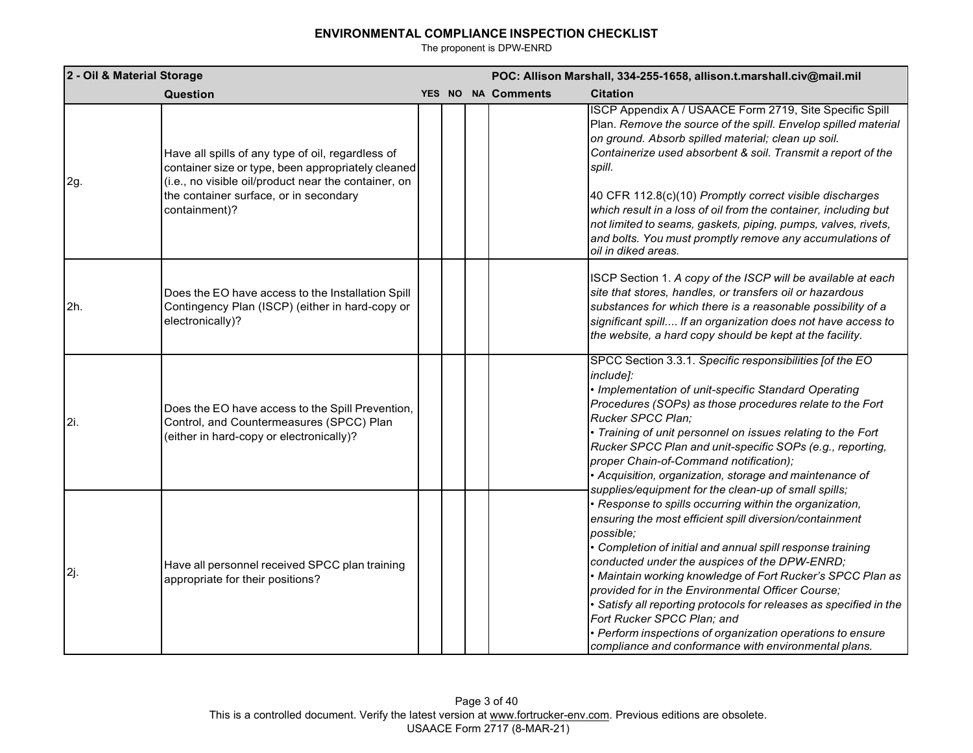| 2 - Oil & Material Storage |                                                                                                                                                                                                                            | POC: Allison Marshall, 334-255-1658, allison.t.marshall.civ@mail.mil |  |                    |                                                                                                                                                                                                                                                                                                                                                                                                                                                                                                                                                                                                                                                   |
|----------------------------|----------------------------------------------------------------------------------------------------------------------------------------------------------------------------------------------------------------------------|----------------------------------------------------------------------|--|--------------------|---------------------------------------------------------------------------------------------------------------------------------------------------------------------------------------------------------------------------------------------------------------------------------------------------------------------------------------------------------------------------------------------------------------------------------------------------------------------------------------------------------------------------------------------------------------------------------------------------------------------------------------------------|
|                            | Question                                                                                                                                                                                                                   |                                                                      |  | YES NO NA Comments | <b>Citation</b>                                                                                                                                                                                                                                                                                                                                                                                                                                                                                                                                                                                                                                   |
| 2g.                        | Have all spills of any type of oil, regardless of<br>container size or type, been appropriately cleaned<br>(i.e., no visible oil/product near the container, on<br>the container surface, or in secondary<br>containment)? |                                                                      |  |                    | ISCP Appendix A / USAACE Form 2719, Site Specific Spill<br>Plan. Remove the source of the spill. Envelop spilled material<br>on ground. Absorb spilled material; clean up soil.<br>Containerize used absorbent & soil. Transmit a report of the<br>spill.<br>40 CFR 112.8(c)(10) Promptly correct visible discharges<br>which result in a loss of oil from the container, including but<br>not limited to seams, gaskets, piping, pumps, valves, rivets,<br>and bolts. You must promptly remove any accumulations of<br>oil in diked areas.                                                                                                       |
| 2h.                        | Does the EO have access to the Installation Spill<br>Contingency Plan (ISCP) (either in hard-copy or<br>electronically)?                                                                                                   |                                                                      |  |                    | ISCP Section 1. A copy of the ISCP will be available at each<br>site that stores, handles, or transfers oil or hazardous<br>substances for which there is a reasonable possibility of a<br>significant spill If an organization does not have access to<br>the website, a hard copy should be kept at the facility.                                                                                                                                                                                                                                                                                                                               |
| 2i.                        | Does the EO have access to the Spill Prevention,<br>Control, and Countermeasures (SPCC) Plan<br>(either in hard-copy or electronically)?                                                                                   |                                                                      |  |                    | SPCC Section 3.3.1. Specific responsibilities [of the EO<br>include]:<br>· Implementation of unit-specific Standard Operating<br>Procedures (SOPs) as those procedures relate to the Fort<br>Rucker SPCC Plan:<br>• Training of unit personnel on issues relating to the Fort<br>Rucker SPCC Plan and unit-specific SOPs (e.g., reporting,<br>proper Chain-of-Command notification);<br>· Acquisition, organization, storage and maintenance of                                                                                                                                                                                                   |
| 2j.                        | Have all personnel received SPCC plan training<br>appropriate for their positions?                                                                                                                                         |                                                                      |  |                    | supplies/equipment for the clean-up of small spills;<br>· Response to spills occurring within the organization,<br>ensuring the most efficient spill diversion/containment<br>possible:<br>• Completion of initial and annual spill response training<br>conducted under the auspices of the DPW-ENRD;<br>• Maintain working knowledge of Fort Rucker's SPCC Plan as<br>provided for in the Environmental Officer Course;<br>Satisfy all reporting protocols for releases as specified in the<br>Fort Rucker SPCC Plan; and<br>· Perform inspections of organization operations to ensure<br>compliance and conformance with environmental plans. |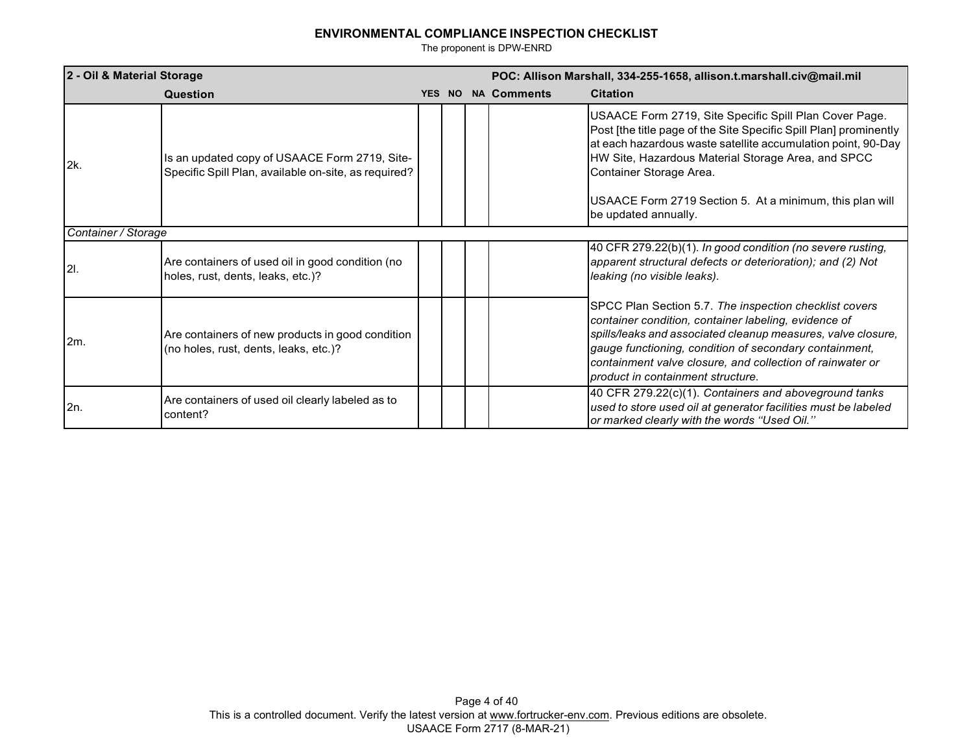| 2 - Oil & Material Storage |                                                                                                       | POC: Allison Marshall, 334-255-1658, allison.t.marshall.civ@mail.mil |     |  |                    |                                                                                                                                                                                                                                                                                                                                            |
|----------------------------|-------------------------------------------------------------------------------------------------------|----------------------------------------------------------------------|-----|--|--------------------|--------------------------------------------------------------------------------------------------------------------------------------------------------------------------------------------------------------------------------------------------------------------------------------------------------------------------------------------|
|                            | <b>Question</b>                                                                                       | <b>YES</b>                                                           | NO. |  | <b>NA Comments</b> | <b>Citation</b>                                                                                                                                                                                                                                                                                                                            |
| 2k.                        | Is an updated copy of USAACE Form 2719, Site-<br>Specific Spill Plan, available on-site, as required? |                                                                      |     |  |                    | USAACE Form 2719, Site Specific Spill Plan Cover Page.<br>Post [the title page of the Site Specific Spill Plan] prominently<br>at each hazardous waste satellite accumulation point, 90-Day<br>HW Site, Hazardous Material Storage Area, and SPCC<br>Container Storage Area.<br>USAACE Form 2719 Section 5. At a minimum, this plan will   |
|                            |                                                                                                       |                                                                      |     |  |                    | be updated annually.                                                                                                                                                                                                                                                                                                                       |
| Container / Storage        |                                                                                                       |                                                                      |     |  |                    |                                                                                                                                                                                                                                                                                                                                            |
| 2I.                        | Are containers of used oil in good condition (no<br>holes, rust, dents, leaks, etc.)?                 |                                                                      |     |  |                    | 40 CFR 279.22(b)(1). In good condition (no severe rusting,<br>apparent structural defects or deterioration); and (2) Not<br>leaking (no visible leaks).                                                                                                                                                                                    |
| 2m.                        | Are containers of new products in good condition<br>(no holes, rust, dents, leaks, etc.)?             |                                                                      |     |  |                    | SPCC Plan Section 5.7. The inspection checklist covers<br>container condition, container labeling, evidence of<br>spills/leaks and associated cleanup measures, valve closure,<br>gauge functioning, condition of secondary containment,<br>containment valve closure, and collection of rainwater or<br>product in containment structure. |
| 2n.                        | Are containers of used oil clearly labeled as to<br>content?                                          |                                                                      |     |  |                    | 40 CFR 279.22(c)(1). Containers and aboveground tanks<br>used to store used oil at generator facilities must be labeled<br>or marked clearly with the words "Used Oil."                                                                                                                                                                    |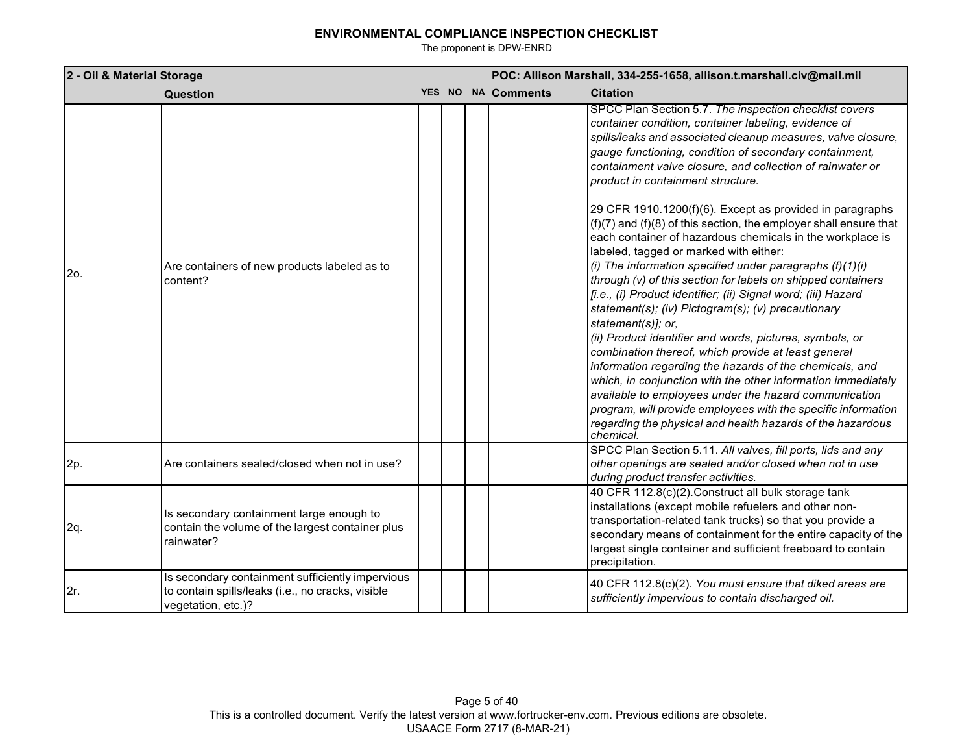| 2 - Oil & Material Storage |                                                                                                                             |  | POC: Allison Marshall, 334-255-1658, allison.t.marshall.civ@mail.mil |                    |                                                                                                                                                                                                                                                                                                                                                                                                                                                                                                                                                                                                                                                                                                                                                                                                                                                                                                                                                                                                                                                                                                                                                                                                                                                                                                         |  |
|----------------------------|-----------------------------------------------------------------------------------------------------------------------------|--|----------------------------------------------------------------------|--------------------|---------------------------------------------------------------------------------------------------------------------------------------------------------------------------------------------------------------------------------------------------------------------------------------------------------------------------------------------------------------------------------------------------------------------------------------------------------------------------------------------------------------------------------------------------------------------------------------------------------------------------------------------------------------------------------------------------------------------------------------------------------------------------------------------------------------------------------------------------------------------------------------------------------------------------------------------------------------------------------------------------------------------------------------------------------------------------------------------------------------------------------------------------------------------------------------------------------------------------------------------------------------------------------------------------------|--|
|                            | Question                                                                                                                    |  |                                                                      | YES NO NA Comments | <b>Citation</b>                                                                                                                                                                                                                                                                                                                                                                                                                                                                                                                                                                                                                                                                                                                                                                                                                                                                                                                                                                                                                                                                                                                                                                                                                                                                                         |  |
| 2o.                        | Are containers of new products labeled as to<br>content?                                                                    |  |                                                                      |                    | SPCC Plan Section 5.7. The inspection checklist covers<br>container condition, container labeling, evidence of<br>spills/leaks and associated cleanup measures, valve closure,<br>gauge functioning, condition of secondary containment,<br>containment valve closure, and collection of rainwater or<br>product in containment structure.<br>29 CFR 1910.1200(f)(6). Except as provided in paragraphs<br>$(f)(7)$ and $(f)(8)$ of this section, the employer shall ensure that<br>each container of hazardous chemicals in the workplace is<br>labeled, tagged or marked with either:<br>(i) The information specified under paragraphs $(f)(1)(i)$<br>through (v) of this section for labels on shipped containers<br>[i.e., (i) Product identifier; (ii) Signal word; (iii) Hazard<br>statement(s); (iv) Pictogram(s); (v) precautionary<br>statement(s)]; or,<br>(ii) Product identifier and words, pictures, symbols, or<br>combination thereof, which provide at least general<br>information regarding the hazards of the chemicals, and<br>which, in conjunction with the other information immediately<br>available to employees under the hazard communication<br>program, will provide employees with the specific information<br>regarding the physical and health hazards of the hazardous |  |
| 2p.                        | Are containers sealed/closed when not in use?                                                                               |  |                                                                      |                    | chemical.<br>SPCC Plan Section 5.11. All valves, fill ports, lids and any<br>other openings are sealed and/or closed when not in use<br>during product transfer activities.                                                                                                                                                                                                                                                                                                                                                                                                                                                                                                                                                                                                                                                                                                                                                                                                                                                                                                                                                                                                                                                                                                                             |  |
| 2q.                        | Is secondary containment large enough to<br>contain the volume of the largest container plus<br>rainwater?                  |  |                                                                      |                    | 40 CFR 112.8(c)(2). Construct all bulk storage tank<br>installations (except mobile refuelers and other non-<br>transportation-related tank trucks) so that you provide a<br>secondary means of containment for the entire capacity of the<br>largest single container and sufficient freeboard to contain<br>precipitation.                                                                                                                                                                                                                                                                                                                                                                                                                                                                                                                                                                                                                                                                                                                                                                                                                                                                                                                                                                            |  |
| 2r.                        | Is secondary containment sufficiently impervious<br>to contain spills/leaks (i.e., no cracks, visible<br>vegetation, etc.)? |  |                                                                      |                    | 40 CFR 112.8(c)(2). You must ensure that diked areas are<br>sufficiently impervious to contain discharged oil.                                                                                                                                                                                                                                                                                                                                                                                                                                                                                                                                                                                                                                                                                                                                                                                                                                                                                                                                                                                                                                                                                                                                                                                          |  |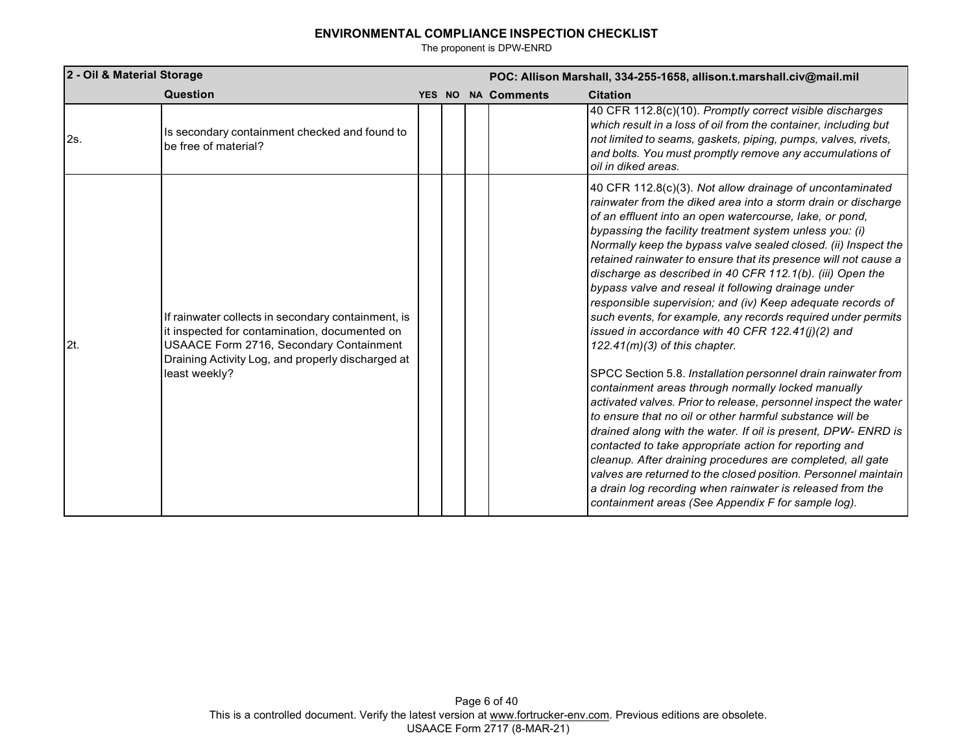| 2 - Oil & Material Storage |                                                                                                                                                                                                                      | POC: Allison Marshall, 334-255-1658, allison.t.marshall.civ@mail.mil |  |                           |                                                                                                                                                                                                                                                                                                                                                                                                                                                                                                                                                                                                                                                                                                                                                                                                                                                                                                                                                                                                                                                                                                                                                                                                                                                                                                                                                                    |
|----------------------------|----------------------------------------------------------------------------------------------------------------------------------------------------------------------------------------------------------------------|----------------------------------------------------------------------|--|---------------------------|--------------------------------------------------------------------------------------------------------------------------------------------------------------------------------------------------------------------------------------------------------------------------------------------------------------------------------------------------------------------------------------------------------------------------------------------------------------------------------------------------------------------------------------------------------------------------------------------------------------------------------------------------------------------------------------------------------------------------------------------------------------------------------------------------------------------------------------------------------------------------------------------------------------------------------------------------------------------------------------------------------------------------------------------------------------------------------------------------------------------------------------------------------------------------------------------------------------------------------------------------------------------------------------------------------------------------------------------------------------------|
|                            | Question                                                                                                                                                                                                             |                                                                      |  | <b>YES NO NA Comments</b> | <b>Citation</b>                                                                                                                                                                                                                                                                                                                                                                                                                                                                                                                                                                                                                                                                                                                                                                                                                                                                                                                                                                                                                                                                                                                                                                                                                                                                                                                                                    |
| 2s.                        | Is secondary containment checked and found to<br>be free of material?                                                                                                                                                |                                                                      |  |                           | 40 CFR 112.8(c)(10). Promptly correct visible discharges<br>which result in a loss of oil from the container, including but<br>not limited to seams, gaskets, piping, pumps, valves, rivets,<br>and bolts. You must promptly remove any accumulations of<br>oil in diked areas.                                                                                                                                                                                                                                                                                                                                                                                                                                                                                                                                                                                                                                                                                                                                                                                                                                                                                                                                                                                                                                                                                    |
| 2t.                        | If rainwater collects in secondary containment, is<br>it inspected for contamination, documented on<br>USAACE Form 2716, Secondary Containment<br>Draining Activity Log, and properly discharged at<br>least weekly? |                                                                      |  |                           | 40 CFR 112.8(c)(3). Not allow drainage of uncontaminated<br>rainwater from the diked area into a storm drain or discharge<br>of an effluent into an open watercourse, lake, or pond,<br>bypassing the facility treatment system unless you: (i)<br>Normally keep the bypass valve sealed closed. (ii) Inspect the<br>retained rainwater to ensure that its presence will not cause a<br>discharge as described in 40 CFR 112.1(b). (iii) Open the<br>bypass valve and reseal it following drainage under<br>responsible supervision; and (iv) Keep adequate records of<br>such events, for example, any records required under permits<br>issued in accordance with 40 CFR 122.41(j)(2) and<br>$122.41(m)(3)$ of this chapter.<br>SPCC Section 5.8. Installation personnel drain rainwater from<br>containment areas through normally locked manually<br>activated valves. Prior to release, personnel inspect the water<br>to ensure that no oil or other harmful substance will be<br>drained along with the water. If oil is present, DPW- ENRD is<br>contacted to take appropriate action for reporting and<br>cleanup. After draining procedures are completed, all gate<br>valves are returned to the closed position. Personnel maintain<br>a drain log recording when rainwater is released from the<br>containment areas (See Appendix F for sample log). |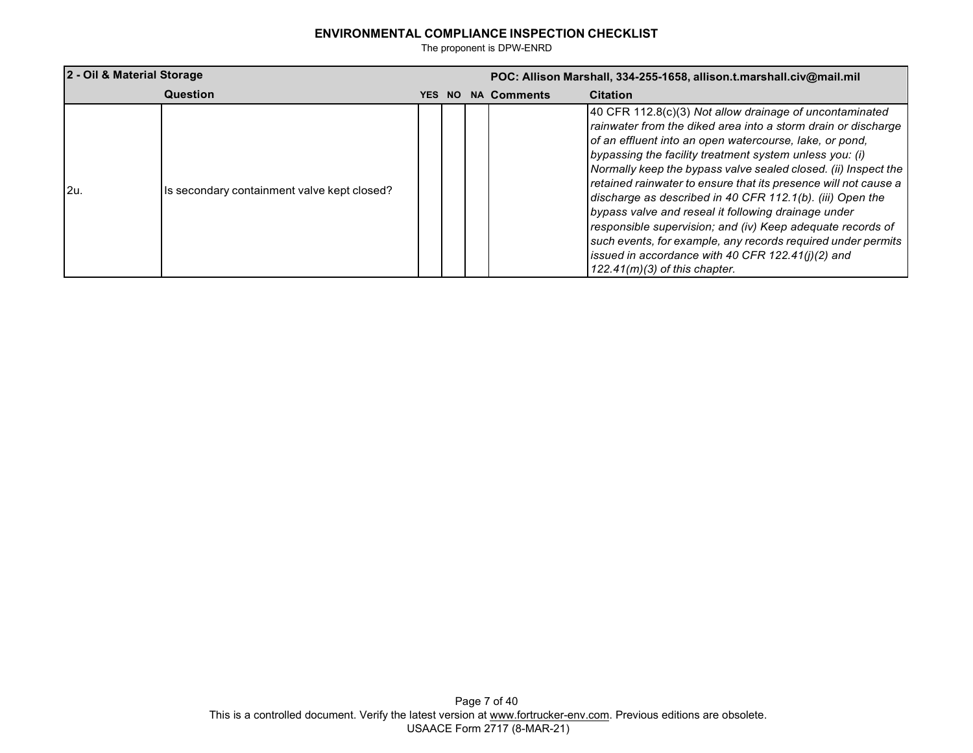| 2 - Oil & Material Storage |                                             |  |        | POC: Allison Marshall, 334-255-1658, allison.t.marshall.civ@mail.mil |                    |                                                                                                                                                                                                                                                                                                                                                                                                                                                                                                                                                                                                                                                                                                                                 |  |
|----------------------------|---------------------------------------------|--|--------|----------------------------------------------------------------------|--------------------|---------------------------------------------------------------------------------------------------------------------------------------------------------------------------------------------------------------------------------------------------------------------------------------------------------------------------------------------------------------------------------------------------------------------------------------------------------------------------------------------------------------------------------------------------------------------------------------------------------------------------------------------------------------------------------------------------------------------------------|--|
|                            | Question                                    |  | YES NO |                                                                      | <b>NA Comments</b> | <b>Citation</b>                                                                                                                                                                                                                                                                                                                                                                                                                                                                                                                                                                                                                                                                                                                 |  |
| l2u.                       | Is secondary containment valve kept closed? |  |        |                                                                      |                    | 40 CFR 112.8(c)(3) Not allow drainage of uncontaminated<br>rainwater from the diked area into a storm drain or discharge<br>of an effluent into an open watercourse, lake, or pond,<br>bypassing the facility treatment system unless you: (i)<br>Normally keep the bypass valve sealed closed. (ii) Inspect the<br>retained rainwater to ensure that its presence will not cause a<br>discharge as described in 40 CFR 112.1(b). (iii) Open the<br>bypass valve and reseal it following drainage under<br>responsible supervision; and (iv) Keep adequate records of<br>such events, for example, any records required under permits<br>issued in accordance with 40 CFR $122.41(j)(2)$ and<br>$122.41(m)(3)$ of this chapter. |  |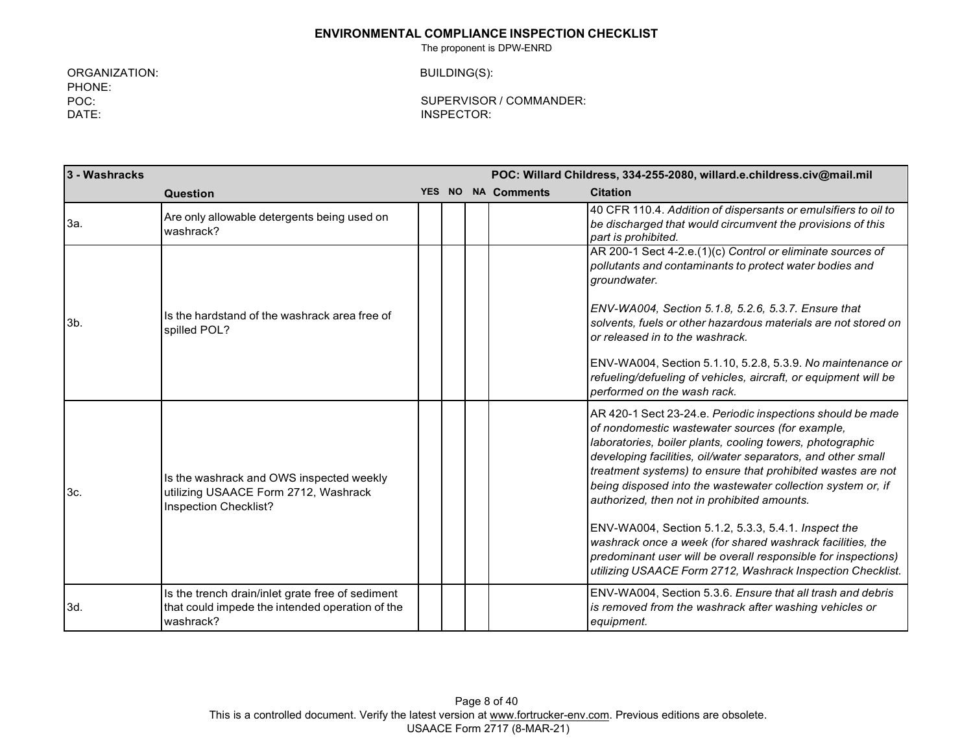The proponent is DPW-ENRD

ORGANIZATION: PHONE: POC: DATE:

BUILDING(S):

| 3 - Washracks |                                                                                                                  |  | POC: Willard Childress, 334-255-2080, willard.e.childress.civ@mail.mil |                                                                                                                                                                                                                                                                                                                                                                                                                         |  |
|---------------|------------------------------------------------------------------------------------------------------------------|--|------------------------------------------------------------------------|-------------------------------------------------------------------------------------------------------------------------------------------------------------------------------------------------------------------------------------------------------------------------------------------------------------------------------------------------------------------------------------------------------------------------|--|
|               | Question                                                                                                         |  | YES NO NA Comments                                                     | <b>Citation</b>                                                                                                                                                                                                                                                                                                                                                                                                         |  |
| 3a.           | Are only allowable detergents being used on<br>washrack?                                                         |  |                                                                        | 40 CFR 110.4. Addition of dispersants or emulsifiers to oil to<br>be discharged that would circumvent the provisions of this<br>part is prohibited.                                                                                                                                                                                                                                                                     |  |
| $3b$ .        |                                                                                                                  |  |                                                                        | AR 200-1 Sect 4-2.e.(1)(c) Control or eliminate sources of<br>pollutants and contaminants to protect water bodies and<br>aroundwater.                                                                                                                                                                                                                                                                                   |  |
|               | Is the hardstand of the washrack area free of<br>spilled POL?                                                    |  |                                                                        | ENV-WA004, Section 5.1.8, 5.2.6, 5.3.7. Ensure that<br>solvents, fuels or other hazardous materials are not stored on<br>or released in to the washrack.                                                                                                                                                                                                                                                                |  |
|               |                                                                                                                  |  |                                                                        | ENV-WA004, Section 5.1.10, 5.2.8, 5.3.9. No maintenance or<br>refueling/defueling of vehicles, aircraft, or equipment will be<br>performed on the wash rack.                                                                                                                                                                                                                                                            |  |
| 3c.           | Is the washrack and OWS inspected weekly<br>utilizing USAACE Form 2712, Washrack<br>Inspection Checklist?        |  |                                                                        | AR 420-1 Sect 23-24.e. Periodic inspections should be made<br>of nondomestic wastewater sources (for example,<br>laboratories, boiler plants, cooling towers, photographic<br>developing facilities, oil/water separators, and other small<br>treatment systems) to ensure that prohibited wastes are not<br>being disposed into the wastewater collection system or, if<br>authorized, then not in prohibited amounts. |  |
|               |                                                                                                                  |  |                                                                        | ENV-WA004, Section 5.1.2, 5.3.3, 5.4.1. Inspect the<br>washrack once a week (for shared washrack facilities, the<br>predominant user will be overall responsible for inspections)<br>utilizing USAACE Form 2712, Washrack Inspection Checklist.                                                                                                                                                                         |  |
| 3d.           | Is the trench drain/inlet grate free of sediment<br>that could impede the intended operation of the<br>washrack? |  |                                                                        | ENV-WA004, Section 5.3.6. Ensure that all trash and debris<br>is removed from the washrack after washing vehicles or<br>equipment.                                                                                                                                                                                                                                                                                      |  |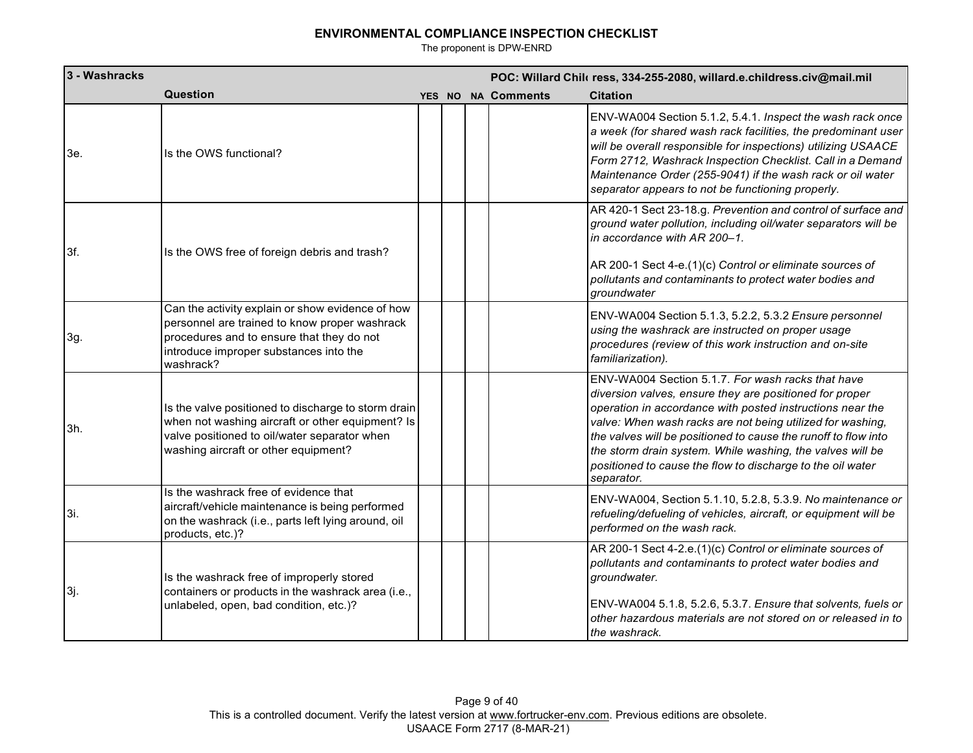| 3 - Washracks |                                                                                                                                                                                                       |  |                    | POC: Willard Chilc ress, 334-255-2080, willard.e.childress.civ@mail.mil                                                                                                                                                                                                                                                                                                                                                                            |
|---------------|-------------------------------------------------------------------------------------------------------------------------------------------------------------------------------------------------------|--|--------------------|----------------------------------------------------------------------------------------------------------------------------------------------------------------------------------------------------------------------------------------------------------------------------------------------------------------------------------------------------------------------------------------------------------------------------------------------------|
|               | Question                                                                                                                                                                                              |  | YES NO NA Comments | <b>Citation</b>                                                                                                                                                                                                                                                                                                                                                                                                                                    |
| 3e.           | Is the OWS functional?                                                                                                                                                                                |  |                    | ENV-WA004 Section 5.1.2, 5.4.1. Inspect the wash rack once<br>a week (for shared wash rack facilities, the predominant user<br>will be overall responsible for inspections) utilizing USAACE<br>Form 2712, Washrack Inspection Checklist. Call in a Demand<br>Maintenance Order (255-9041) if the wash rack or oil water<br>separator appears to not be functioning properly.                                                                      |
| 3f.           | Is the OWS free of foreign debris and trash?                                                                                                                                                          |  |                    | AR 420-1 Sect 23-18.g. Prevention and control of surface and<br>ground water pollution, including oil/water separators will be<br>in accordance with AR 200-1.<br>AR 200-1 Sect 4-e.(1)(c) Control or eliminate sources of<br>pollutants and contaminants to protect water bodies and<br>groundwater                                                                                                                                               |
| 3g.           | Can the activity explain or show evidence of how<br>personnel are trained to know proper washrack<br>procedures and to ensure that they do not<br>introduce improper substances into the<br>washrack? |  |                    | ENV-WA004 Section 5.1.3, 5.2.2, 5.3.2 Ensure personnel<br>using the washrack are instructed on proper usage<br>procedures (review of this work instruction and on-site<br>familiarization).                                                                                                                                                                                                                                                        |
| 3h.           | Is the valve positioned to discharge to storm drain<br>when not washing aircraft or other equipment? Is<br>valve positioned to oil/water separator when<br>washing aircraft or other equipment?       |  |                    | ENV-WA004 Section 5.1.7. For wash racks that have<br>diversion valves, ensure they are positioned for proper<br>operation in accordance with posted instructions near the<br>valve: When wash racks are not being utilized for washing,<br>the valves will be positioned to cause the runoff to flow into<br>the storm drain system. While washing, the valves will be<br>positioned to cause the flow to discharge to the oil water<br>separator. |
| 3i.           | Is the washrack free of evidence that<br>aircraft/vehicle maintenance is being performed<br>on the washrack (i.e., parts left lying around, oil<br>products, etc.)?                                   |  |                    | ENV-WA004, Section 5.1.10, 5.2.8, 5.3.9. No maintenance or<br>refueling/defueling of vehicles, aircraft, or equipment will be<br>performed on the wash rack.                                                                                                                                                                                                                                                                                       |
| 3j.           | Is the washrack free of improperly stored<br>containers or products in the washrack area (i.e.,<br>unlabeled, open, bad condition, etc.)?                                                             |  |                    | AR 200-1 Sect 4-2.e.(1)(c) Control or eliminate sources of<br>pollutants and contaminants to protect water bodies and<br>groundwater.<br>ENV-WA004 5.1.8, 5.2.6, 5.3.7. Ensure that solvents, fuels or<br>other hazardous materials are not stored on or released in to<br>the washrack.                                                                                                                                                           |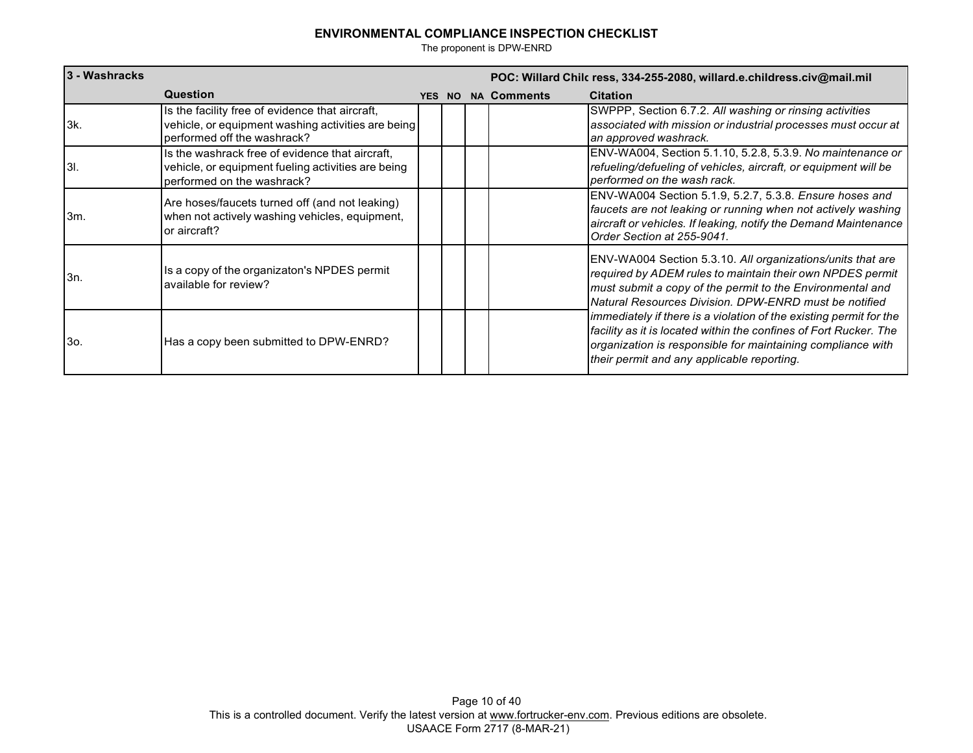| 3 - Washracks |                                                                                                                                      |  |                           | POC: Willard Chilc ress, 334-255-2080, willard.e.childress.civ@mail.mil                                                                                                                                                                              |
|---------------|--------------------------------------------------------------------------------------------------------------------------------------|--|---------------------------|------------------------------------------------------------------------------------------------------------------------------------------------------------------------------------------------------------------------------------------------------|
|               | Question                                                                                                                             |  | <b>YES NO NA Comments</b> | <b>Citation</b>                                                                                                                                                                                                                                      |
| l3k.          | Is the facility free of evidence that aircraft,<br>vehicle, or equipment washing activities are being<br>performed off the washrack? |  |                           | SWPPP, Section 6.7.2. All washing or rinsing activities<br>associated with mission or industrial processes must occur at<br>an approved washrack.                                                                                                    |
| l3I.          | Is the washrack free of evidence that aircraft,<br>vehicle, or equipment fueling activities are being<br>performed on the washrack?  |  |                           | ENV-WA004, Section 5.1.10, 5.2.8, 5.3.9. No maintenance or<br>refueling/defueling of vehicles, aircraft, or equipment will be<br>performed on the wash rack.                                                                                         |
| 3m.           | Are hoses/faucets turned off (and not leaking)<br>when not actively washing vehicles, equipment,<br>or aircraft?                     |  |                           | ENV-WA004 Section 5.1.9, 5.2.7, 5.3.8. Ensure hoses and<br>faucets are not leaking or running when not actively washing<br>aircraft or vehicles. If leaking, notify the Demand Maintenance<br>Order Section at 255-9041.                             |
| 3n.           | Is a copy of the organizaton's NPDES permit<br>available for review?                                                                 |  |                           | ENV-WA004 Section 5.3.10. All organizations/units that are<br>required by ADEM rules to maintain their own NPDES permit<br>must submit a copy of the permit to the Environmental and<br>Natural Resources Division, DPW-ENRD must be notified        |
| 3o.           | Has a copy been submitted to DPW-ENRD?                                                                                               |  |                           | immediately if there is a violation of the existing permit for the<br>facility as it is located within the confines of Fort Rucker. The<br>organization is responsible for maintaining compliance with<br>their permit and any applicable reporting. |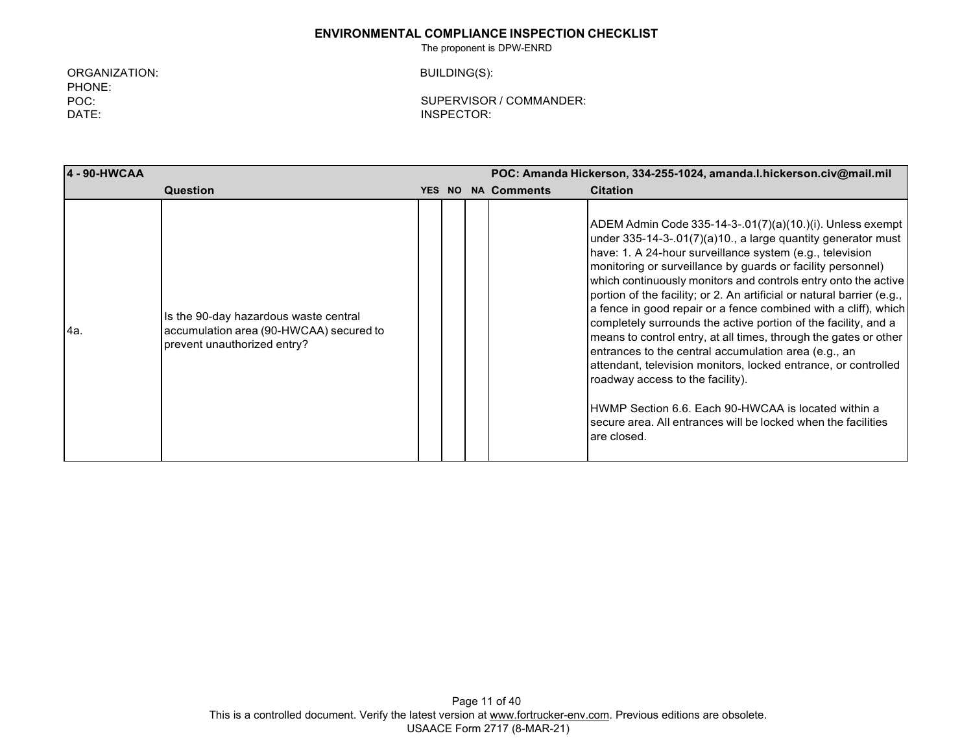The proponent is DPW-ENRD

ORGANIZATION: PHONE: POC: DATE:

BUILDING(S):

| 4 - 90-HWCAA |                                                                                                                 |               | POC: Amanda Hickerson, 334-255-1024, amanda.l.hickerson.civ@mail.mil |                    |                                                                                                                                                                                                                                                                                                                                                                                                                                                                                                                                                                                                                                                                                                                                                                                                                                                                                                                |  |
|--------------|-----------------------------------------------------------------------------------------------------------------|---------------|----------------------------------------------------------------------|--------------------|----------------------------------------------------------------------------------------------------------------------------------------------------------------------------------------------------------------------------------------------------------------------------------------------------------------------------------------------------------------------------------------------------------------------------------------------------------------------------------------------------------------------------------------------------------------------------------------------------------------------------------------------------------------------------------------------------------------------------------------------------------------------------------------------------------------------------------------------------------------------------------------------------------------|--|
|              | Question                                                                                                        | <b>YES NO</b> |                                                                      | <b>NA Comments</b> | <b>Citation</b>                                                                                                                                                                                                                                                                                                                                                                                                                                                                                                                                                                                                                                                                                                                                                                                                                                                                                                |  |
| l4a.         | Is the 90-day hazardous waste central<br>accumulation area (90-HWCAA) secured to<br>prevent unauthorized entry? |               |                                                                      |                    | ADEM Admin Code 335-14-3-.01(7)(a)(10.)(i). Unless exempt<br>under 335-14-3-.01(7)(a)10., a large quantity generator must<br>have: 1. A 24-hour surveillance system (e.g., television<br>monitoring or surveillance by guards or facility personnel)<br>which continuously monitors and controls entry onto the active<br>portion of the facility; or 2. An artificial or natural barrier (e.g.,<br>a fence in good repair or a fence combined with a cliff), which<br>completely surrounds the active portion of the facility, and a<br>means to control entry, at all times, through the gates or other<br>entrances to the central accumulation area (e.g., an<br>attendant, television monitors, locked entrance, or controlled<br>roadway access to the facility).<br>HWMP Section 6.6. Each 90-HWCAA is located within a<br>secure area. All entrances will be locked when the facilities<br>are closed. |  |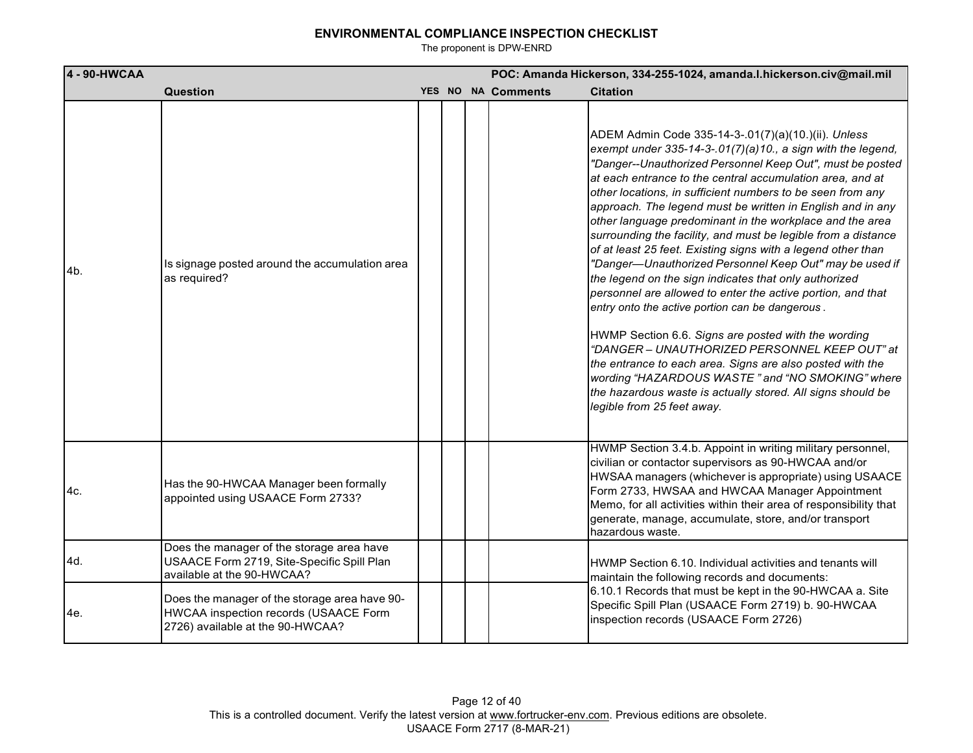| 4 - 90-HWCAA |                                                                                                                            |  | POC: Amanda Hickerson, 334-255-1024, amanda.l.hickerson.civ@mail.mil |                                                                                                                                                                                                                                                                                                                                                                                                                                                                                                                                                                                                                                                                                                                                                                                                                                                                                                                                                                                                                                                                                                                                   |  |  |  |
|--------------|----------------------------------------------------------------------------------------------------------------------------|--|----------------------------------------------------------------------|-----------------------------------------------------------------------------------------------------------------------------------------------------------------------------------------------------------------------------------------------------------------------------------------------------------------------------------------------------------------------------------------------------------------------------------------------------------------------------------------------------------------------------------------------------------------------------------------------------------------------------------------------------------------------------------------------------------------------------------------------------------------------------------------------------------------------------------------------------------------------------------------------------------------------------------------------------------------------------------------------------------------------------------------------------------------------------------------------------------------------------------|--|--|--|
|              | <b>Question</b>                                                                                                            |  | YES NO NA Comments                                                   | <b>Citation</b>                                                                                                                                                                                                                                                                                                                                                                                                                                                                                                                                                                                                                                                                                                                                                                                                                                                                                                                                                                                                                                                                                                                   |  |  |  |
| 4b.          | Is signage posted around the accumulation area<br>as required?                                                             |  |                                                                      | ADEM Admin Code 335-14-3-.01(7)(a)(10.)(ii). Unless<br>exempt under 335-14-3-.01(7)(a)10., a sign with the legend,<br>"Danger--Unauthorized Personnel Keep Out", must be posted<br>at each entrance to the central accumulation area, and at<br>other locations, in sufficient numbers to be seen from any<br>approach. The legend must be written in English and in any<br>other language predominant in the workplace and the area<br>surrounding the facility, and must be legible from a distance<br>of at least 25 feet. Existing signs with a legend other than<br>"Danger-Unauthorized Personnel Keep Out" may be used if<br>the legend on the sign indicates that only authorized<br>personnel are allowed to enter the active portion, and that<br>entry onto the active portion can be dangerous.<br>HWMP Section 6.6. Signs are posted with the wording<br>"DANGER - UNAUTHORIZED PERSONNEL KEEP OUT" at<br>the entrance to each area. Signs are also posted with the<br>wording "HAZARDOUS WASTE" and "NO SMOKING" where<br>the hazardous waste is actually stored. All signs should be<br>legible from 25 feet away. |  |  |  |
| 4c.          | Has the 90-HWCAA Manager been formally<br>appointed using USAACE Form 2733?                                                |  |                                                                      | HWMP Section 3.4.b. Appoint in writing military personnel,<br>civilian or contactor supervisors as 90-HWCAA and/or<br>HWSAA managers (whichever is appropriate) using USAACE<br>Form 2733, HWSAA and HWCAA Manager Appointment<br>Memo, for all activities within their area of responsibility that<br>generate, manage, accumulate, store, and/or transport<br>hazardous waste.                                                                                                                                                                                                                                                                                                                                                                                                                                                                                                                                                                                                                                                                                                                                                  |  |  |  |
| 4d.          | Does the manager of the storage area have<br>USAACE Form 2719, Site-Specific Spill Plan<br>available at the 90-HWCAA?      |  |                                                                      | HWMP Section 6.10. Individual activities and tenants will<br>maintain the following records and documents:                                                                                                                                                                                                                                                                                                                                                                                                                                                                                                                                                                                                                                                                                                                                                                                                                                                                                                                                                                                                                        |  |  |  |
| 4e.          | Does the manager of the storage area have 90-<br>HWCAA inspection records (USAACE Form<br>2726) available at the 90-HWCAA? |  |                                                                      | 6.10.1 Records that must be kept in the 90-HWCAA a. Site<br>Specific Spill Plan (USAACE Form 2719) b. 90-HWCAA<br>inspection records (USAACE Form 2726)                                                                                                                                                                                                                                                                                                                                                                                                                                                                                                                                                                                                                                                                                                                                                                                                                                                                                                                                                                           |  |  |  |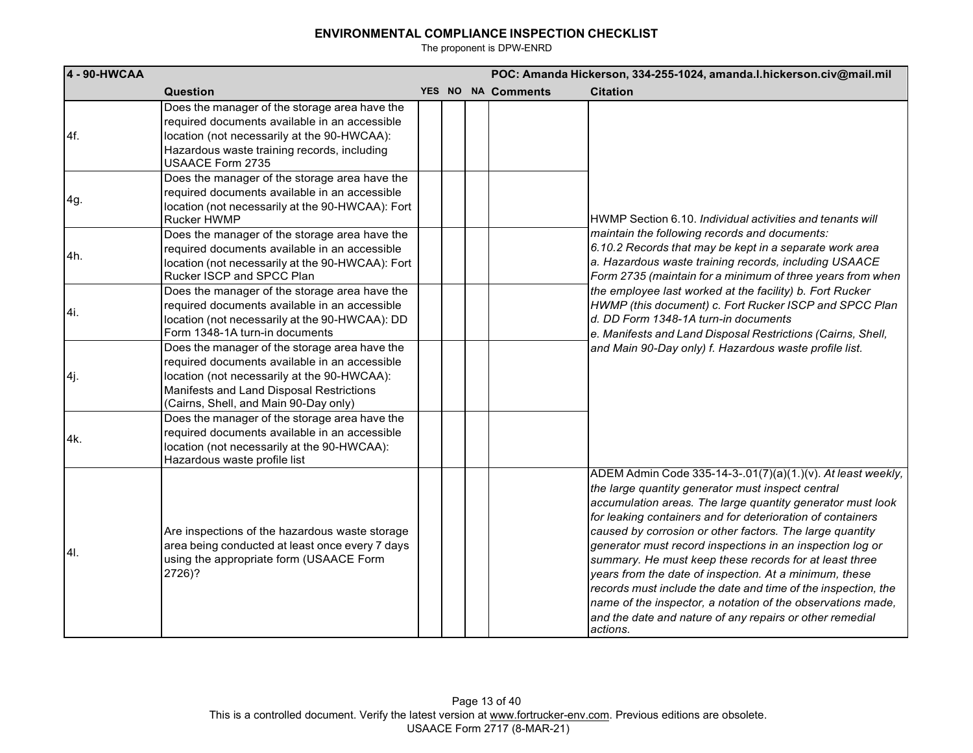| 4 - 90-HWCAA |                                                                                                                                                                                                                                    |  | POC: Amanda Hickerson, 334-255-1024, amanda.l.hickerson.civ@mail.mil |                    |                                                                                                                                                                                                                                                                                                                                                                                                                                                                                                                                                                                                                                                                                                   |  |  |
|--------------|------------------------------------------------------------------------------------------------------------------------------------------------------------------------------------------------------------------------------------|--|----------------------------------------------------------------------|--------------------|---------------------------------------------------------------------------------------------------------------------------------------------------------------------------------------------------------------------------------------------------------------------------------------------------------------------------------------------------------------------------------------------------------------------------------------------------------------------------------------------------------------------------------------------------------------------------------------------------------------------------------------------------------------------------------------------------|--|--|
|              | Question                                                                                                                                                                                                                           |  |                                                                      | YES NO NA Comments | <b>Citation</b>                                                                                                                                                                                                                                                                                                                                                                                                                                                                                                                                                                                                                                                                                   |  |  |
| 4f.          | Does the manager of the storage area have the<br>required documents available in an accessible<br>location (not necessarily at the 90-HWCAA):<br>Hazardous waste training records, including<br>USAACE Form 2735                   |  |                                                                      |                    |                                                                                                                                                                                                                                                                                                                                                                                                                                                                                                                                                                                                                                                                                                   |  |  |
| 4g.          | Does the manager of the storage area have the<br>required documents available in an accessible<br>location (not necessarily at the 90-HWCAA): Fort<br><b>Rucker HWMP</b>                                                           |  |                                                                      |                    | HWMP Section 6.10. Individual activities and tenants will                                                                                                                                                                                                                                                                                                                                                                                                                                                                                                                                                                                                                                         |  |  |
| 4h.          | Does the manager of the storage area have the<br>required documents available in an accessible<br>location (not necessarily at the 90-HWCAA): Fort<br>Rucker ISCP and SPCC Plan                                                    |  |                                                                      |                    | maintain the following records and documents:<br>6.10.2 Records that may be kept in a separate work area<br>a. Hazardous waste training records, including USAACE<br>Form 2735 (maintain for a minimum of three years from when                                                                                                                                                                                                                                                                                                                                                                                                                                                                   |  |  |
| 4i.          | Does the manager of the storage area have the<br>required documents available in an accessible<br>location (not necessarily at the 90-HWCAA): DD<br>Form 1348-1A turn-in documents                                                 |  |                                                                      |                    | the employee last worked at the facility) b. Fort Rucker<br>HWMP (this document) c. Fort Rucker ISCP and SPCC Plan<br>d. DD Form 1348-1A turn-in documents<br>e. Manifests and Land Disposal Restrictions (Cairns, Shell,<br>and Main 90-Day only) f. Hazardous waste profile list.                                                                                                                                                                                                                                                                                                                                                                                                               |  |  |
| 4j.          | Does the manager of the storage area have the<br>required documents available in an accessible<br>location (not necessarily at the 90-HWCAA):<br>Manifests and Land Disposal Restrictions<br>(Cairns, Shell, and Main 90-Day only) |  |                                                                      |                    |                                                                                                                                                                                                                                                                                                                                                                                                                                                                                                                                                                                                                                                                                                   |  |  |
| 4k.          | Does the manager of the storage area have the<br>required documents available in an accessible<br>location (not necessarily at the 90-HWCAA):<br>Hazardous waste profile list                                                      |  |                                                                      |                    |                                                                                                                                                                                                                                                                                                                                                                                                                                                                                                                                                                                                                                                                                                   |  |  |
| 41.          | Are inspections of the hazardous waste storage<br>area being conducted at least once every 7 days<br>using the appropriate form (USAACE Form<br>2726)?                                                                             |  |                                                                      |                    | ADEM Admin Code 335-14-3-.01(7)(a)(1.)(v). At least weekly,<br>the large quantity generator must inspect central<br>accumulation areas. The large quantity generator must look<br>for leaking containers and for deterioration of containers<br>caused by corrosion or other factors. The large quantity<br>generator must record inspections in an inspection log or<br>summary. He must keep these records for at least three<br>years from the date of inspection. At a minimum, these<br>records must include the date and time of the inspection, the<br>name of the inspector, a notation of the observations made,<br>and the date and nature of any repairs or other remedial<br>actions. |  |  |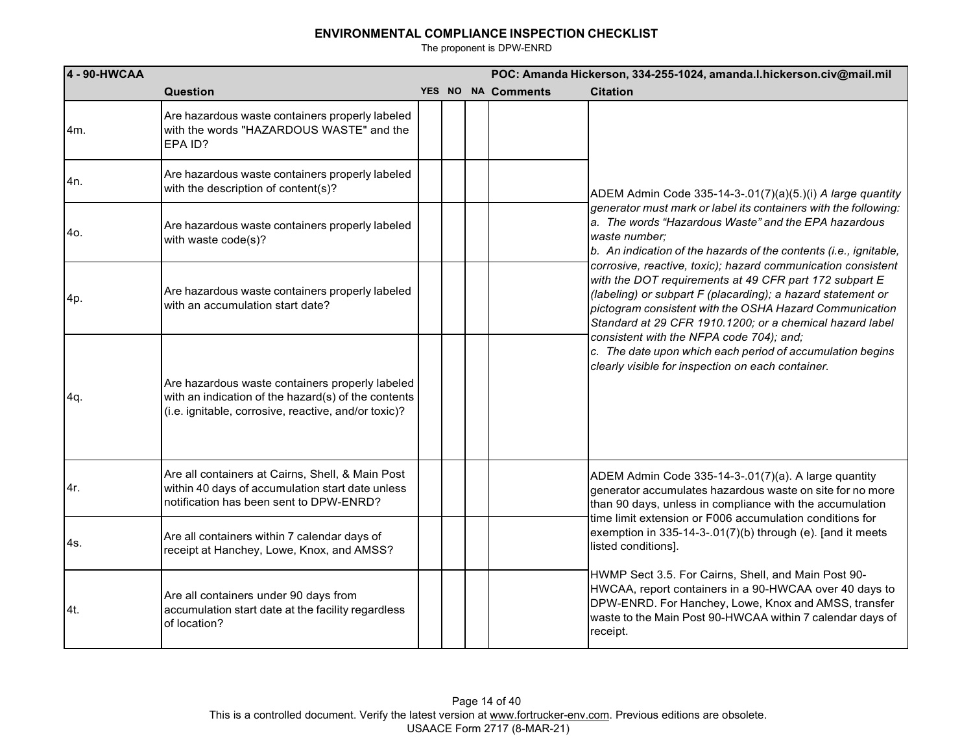| 4 - 90-HWCAA |                                                                                                                                                                |  | POC: Amanda Hickerson, 334-255-1024, amanda.l.hickerson.civ@mail.mil |                                                                                                                                                                                                                                                                                                              |  |  |  |
|--------------|----------------------------------------------------------------------------------------------------------------------------------------------------------------|--|----------------------------------------------------------------------|--------------------------------------------------------------------------------------------------------------------------------------------------------------------------------------------------------------------------------------------------------------------------------------------------------------|--|--|--|
|              | Question                                                                                                                                                       |  | YES NO NA Comments                                                   | <b>Citation</b>                                                                                                                                                                                                                                                                                              |  |  |  |
| 4m.          | Are hazardous waste containers properly labeled<br>with the words "HAZARDOUS WASTE" and the<br>EPA ID?                                                         |  |                                                                      |                                                                                                                                                                                                                                                                                                              |  |  |  |
| l4n.         | Are hazardous waste containers properly labeled<br>with the description of content(s)?                                                                         |  |                                                                      | ADEM Admin Code 335-14-3-.01(7)(a)(5.)(i) A large quantity                                                                                                                                                                                                                                                   |  |  |  |
| 4o.          | Are hazardous waste containers properly labeled<br>with waste code(s)?                                                                                         |  |                                                                      | generator must mark or label its containers with the following:<br>a. The words "Hazardous Waste" and the EPA hazardous<br>waste number;<br>b. An indication of the hazards of the contents (i.e., ignitable,                                                                                                |  |  |  |
| 4p.          | Are hazardous waste containers properly labeled<br>with an accumulation start date?                                                                            |  |                                                                      | corrosive, reactive, toxic); hazard communication consistent<br>with the DOT requirements at 49 CFR part 172 subpart E<br>(labeling) or subpart F (placarding); a hazard statement or<br>pictogram consistent with the OSHA Hazard Communication<br>Standard at 29 CFR 1910.1200; or a chemical hazard label |  |  |  |
| 4q.          | Are hazardous waste containers properly labeled<br>with an indication of the hazard(s) of the contents<br>(i.e. ignitable, corrosive, reactive, and/or toxic)? |  |                                                                      | consistent with the NFPA code 704); and;<br>c. The date upon which each period of accumulation begins<br>clearly visible for inspection on each container.                                                                                                                                                   |  |  |  |
| 4r.          | Are all containers at Cairns, Shell, & Main Post<br>within 40 days of accumulation start date unless<br>notification has been sent to DPW-ENRD?                |  |                                                                      | ADEM Admin Code 335-14-3-.01(7)(a). A large quantity<br>generator accumulates hazardous waste on site for no more<br>than 90 days, unless in compliance with the accumulation                                                                                                                                |  |  |  |
| 4s.          | Are all containers within 7 calendar days of<br>receipt at Hanchey, Lowe, Knox, and AMSS?                                                                      |  |                                                                      | time limit extension or F006 accumulation conditions for<br>exemption in 335-14-3-.01(7)(b) through (e). [and it meets<br>listed conditions].                                                                                                                                                                |  |  |  |
| 4t.          | Are all containers under 90 days from<br>accumulation start date at the facility regardless<br>of location?                                                    |  |                                                                      | HWMP Sect 3.5. For Cairns, Shell, and Main Post 90-<br>HWCAA, report containers in a 90-HWCAA over 40 days to<br>DPW-ENRD. For Hanchey, Lowe, Knox and AMSS, transfer<br>waste to the Main Post 90-HWCAA within 7 calendar days of<br>receipt.                                                               |  |  |  |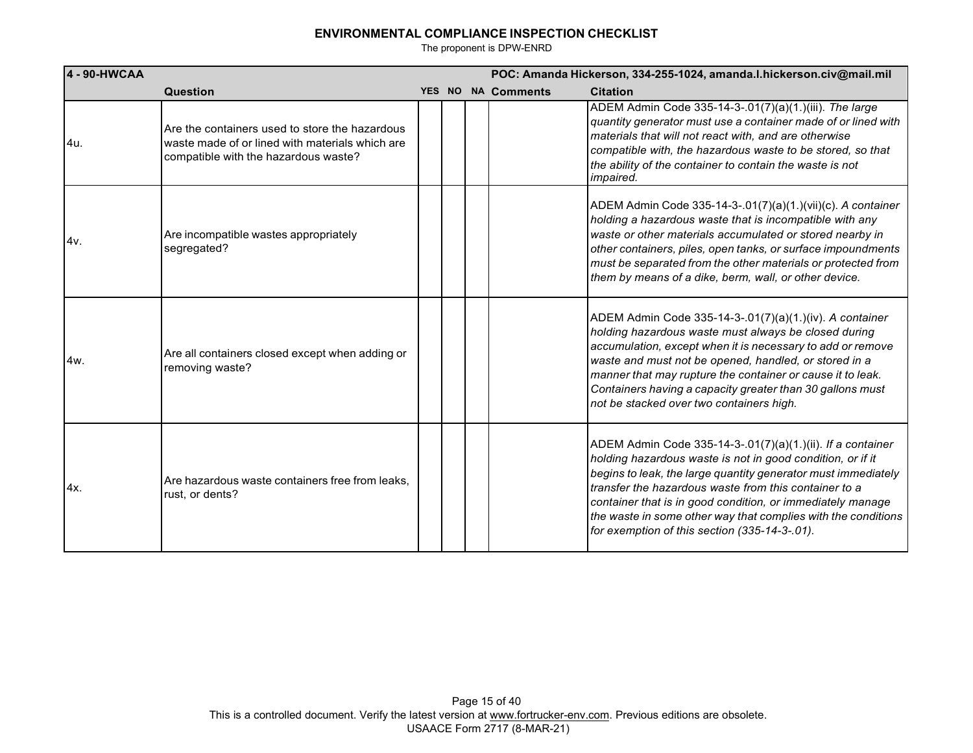| 4 - 90-HWCAA |                                                                                                                                           |  | POC: Amanda Hickerson, 334-255-1024, amanda.l.hickerson.civ@mail.mil |                                                                                                                                                                                                                                                                                                                                                                                                                                    |  |  |
|--------------|-------------------------------------------------------------------------------------------------------------------------------------------|--|----------------------------------------------------------------------|------------------------------------------------------------------------------------------------------------------------------------------------------------------------------------------------------------------------------------------------------------------------------------------------------------------------------------------------------------------------------------------------------------------------------------|--|--|
|              | Question                                                                                                                                  |  | YES NO NA Comments                                                   | <b>Citation</b>                                                                                                                                                                                                                                                                                                                                                                                                                    |  |  |
| 4u.          | Are the containers used to store the hazardous<br>waste made of or lined with materials which are<br>compatible with the hazardous waste? |  |                                                                      | ADEM Admin Code 335-14-3-.01(7)(a)(1.)(iii). The large<br>quantity generator must use a container made of or lined with<br>materials that will not react with, and are otherwise<br>compatible with, the hazardous waste to be stored, so that<br>the ability of the container to contain the waste is not<br><i>impaired.</i>                                                                                                     |  |  |
| 14v.         | Are incompatible wastes appropriately<br>segregated?                                                                                      |  |                                                                      | ADEM Admin Code 335-14-3-.01(7)(a)(1.)(vii)(c). A container<br>holding a hazardous waste that is incompatible with any<br>waste or other materials accumulated or stored nearby in<br>other containers, piles, open tanks, or surface impoundments<br>must be separated from the other materials or protected from<br>them by means of a dike, berm, wall, or other device.                                                        |  |  |
| 4w.          | Are all containers closed except when adding or<br>removing waste?                                                                        |  |                                                                      | ADEM Admin Code 335-14-3-.01(7)(a)(1.)(iv). A container<br>holding hazardous waste must always be closed during<br>accumulation, except when it is necessary to add or remove<br>waste and must not be opened, handled, or stored in a<br>manner that may rupture the container or cause it to leak.<br>Containers having a capacity greater than 30 gallons must<br>not be stacked over two containers high.                      |  |  |
| 14x.         | Are hazardous waste containers free from leaks,<br>rust, or dents?                                                                        |  |                                                                      | ADEM Admin Code 335-14-3-.01(7)(a)(1.)(ii). If a container<br>holding hazardous waste is not in good condition, or if it<br>begins to leak, the large quantity generator must immediately<br>transfer the hazardous waste from this container to a<br>container that is in good condition, or immediately manage<br>the waste in some other way that complies with the conditions<br>for exemption of this section (335-14-3-.01). |  |  |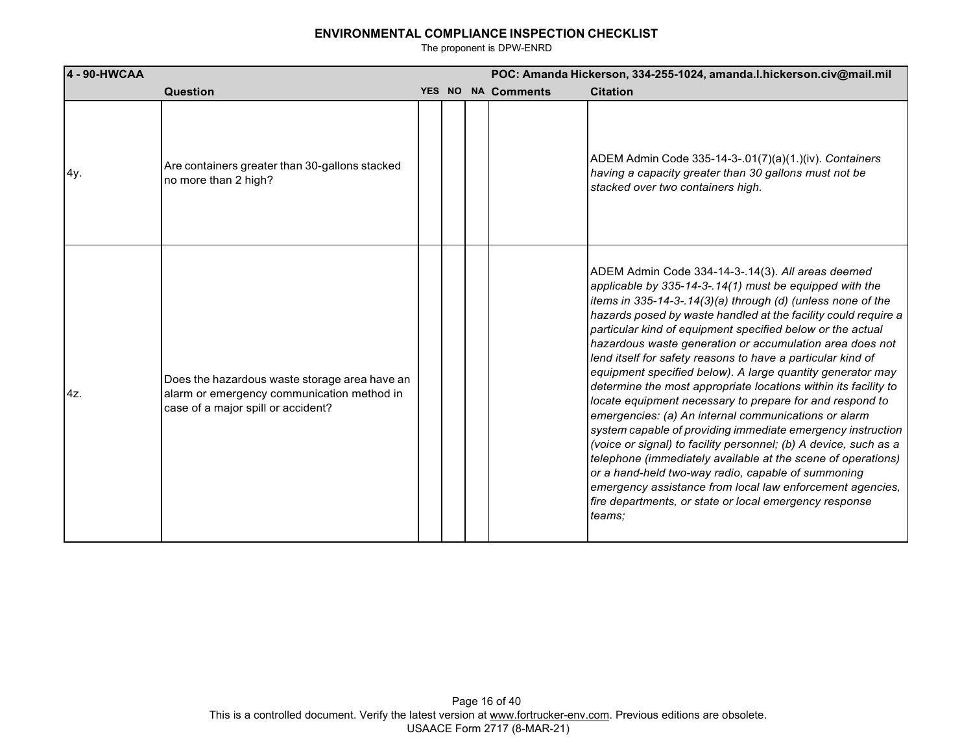| 4 - 90-HWCAA |                                                                                                                                   | POC: Amanda Hickerson, 334-255-1024, amanda.l.hickerson.civ@mail.mil |  |                    |                                                                                                                                                                                                                                                                                                                                                                                                                                                                                                                                                                                                                                                                                                                                                                                                                                                                                                                                                                                                                                                                                       |
|--------------|-----------------------------------------------------------------------------------------------------------------------------------|----------------------------------------------------------------------|--|--------------------|---------------------------------------------------------------------------------------------------------------------------------------------------------------------------------------------------------------------------------------------------------------------------------------------------------------------------------------------------------------------------------------------------------------------------------------------------------------------------------------------------------------------------------------------------------------------------------------------------------------------------------------------------------------------------------------------------------------------------------------------------------------------------------------------------------------------------------------------------------------------------------------------------------------------------------------------------------------------------------------------------------------------------------------------------------------------------------------|
|              | Question                                                                                                                          |                                                                      |  | YES NO NA Comments | <b>Citation</b>                                                                                                                                                                                                                                                                                                                                                                                                                                                                                                                                                                                                                                                                                                                                                                                                                                                                                                                                                                                                                                                                       |
| 4y.          | Are containers greater than 30-gallons stacked<br>no more than 2 high?                                                            |                                                                      |  |                    | ADEM Admin Code 335-14-3-.01(7)(a)(1.)(iv). Containers<br>having a capacity greater than 30 gallons must not be<br>stacked over two containers high.                                                                                                                                                                                                                                                                                                                                                                                                                                                                                                                                                                                                                                                                                                                                                                                                                                                                                                                                  |
| $4z$ .       | Does the hazardous waste storage area have an<br>alarm or emergency communication method in<br>case of a major spill or accident? |                                                                      |  |                    | ADEM Admin Code 334-14-3-.14(3). All areas deemed<br>applicable by 335-14-3-.14(1) must be equipped with the<br>items in 335-14-3-.14(3)(a) through (d) (unless none of the<br>hazards posed by waste handled at the facility could require a<br>particular kind of equipment specified below or the actual<br>hazardous waste generation or accumulation area does not<br>lend itself for safety reasons to have a particular kind of<br>equipment specified below). A large quantity generator may<br>determine the most appropriate locations within its facility to<br>locate equipment necessary to prepare for and respond to<br>emergencies: (a) An internal communications or alarm<br>system capable of providing immediate emergency instruction<br>(voice or signal) to facility personnel; (b) A device, such as a<br>telephone (immediately available at the scene of operations)<br>or a hand-held two-way radio, capable of summoning<br>emergency assistance from local law enforcement agencies,<br>fire departments, or state or local emergency response<br>teams; |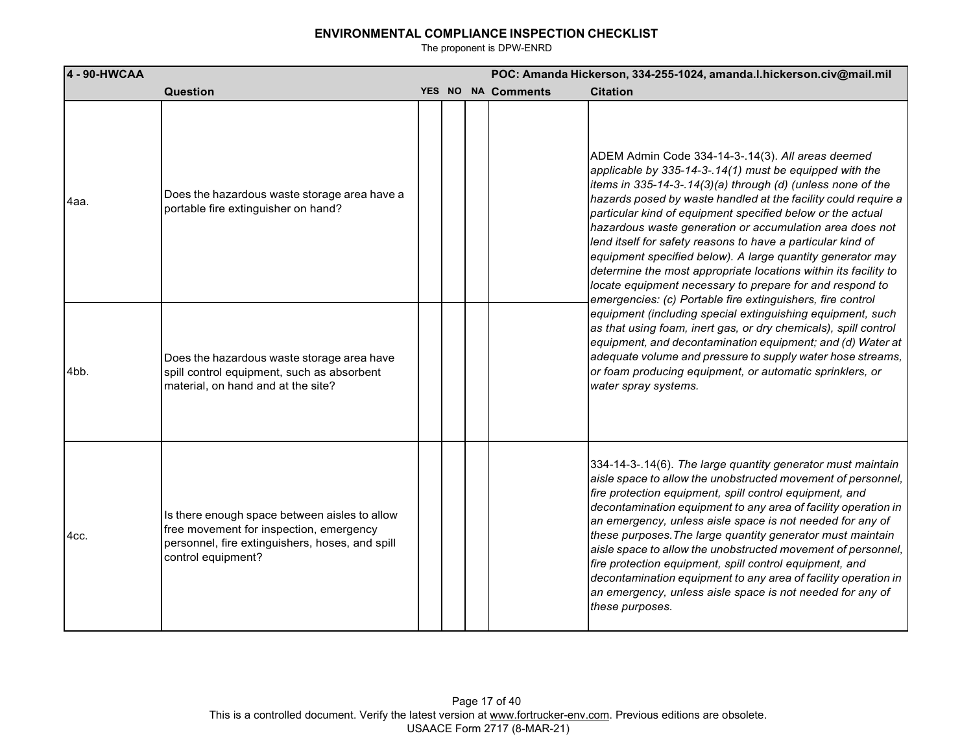| 4 - 90-HWCAA |                                                                                                                                                                   |  | POC: Amanda Hickerson, 334-255-1024, amanda.l.hickerson.civ@mail.mil |                                                                                                                                                                                                                                                                                                                                                                                                                                                                                                                                                                                                                                                                                                   |  |
|--------------|-------------------------------------------------------------------------------------------------------------------------------------------------------------------|--|----------------------------------------------------------------------|---------------------------------------------------------------------------------------------------------------------------------------------------------------------------------------------------------------------------------------------------------------------------------------------------------------------------------------------------------------------------------------------------------------------------------------------------------------------------------------------------------------------------------------------------------------------------------------------------------------------------------------------------------------------------------------------------|--|
|              | Question                                                                                                                                                          |  | YES NO NA Comments                                                   | <b>Citation</b>                                                                                                                                                                                                                                                                                                                                                                                                                                                                                                                                                                                                                                                                                   |  |
| 4aa.         | Does the hazardous waste storage area have a<br>portable fire extinguisher on hand?                                                                               |  |                                                                      | ADEM Admin Code 334-14-3-.14(3). All areas deemed<br>applicable by 335-14-3-.14(1) must be equipped with the<br>items in 335-14-3-.14(3)(a) through (d) (unless none of the<br>hazards posed by waste handled at the facility could require a<br>particular kind of equipment specified below or the actual<br>hazardous waste generation or accumulation area does not<br>lend itself for safety reasons to have a particular kind of<br>equipment specified below). A large quantity generator may<br>determine the most appropriate locations within its facility to<br>locate equipment necessary to prepare for and respond to<br>emergencies: (c) Portable fire extinguishers, fire control |  |
| 4bb.         | Does the hazardous waste storage area have<br>spill control equipment, such as absorbent<br>material, on hand and at the site?                                    |  |                                                                      | equipment (including special extinguishing equipment, such<br>as that using foam, inert gas, or dry chemicals), spill control<br>equipment, and decontamination equipment; and (d) Water at<br>adequate volume and pressure to supply water hose streams,<br>or foam producing equipment, or automatic sprinklers, or<br>water spray systems.                                                                                                                                                                                                                                                                                                                                                     |  |
| 4cc.         | Is there enough space between aisles to allow<br>free movement for inspection, emergency<br>personnel, fire extinguishers, hoses, and spill<br>control equipment? |  |                                                                      | 334-14-3-.14(6). The large quantity generator must maintain<br>aisle space to allow the unobstructed movement of personnel,<br>fire protection equipment, spill control equipment, and<br>decontamination equipment to any area of facility operation in<br>an emergency, unless aisle space is not needed for any of<br>these purposes. The large quantity generator must maintain<br>aisle space to allow the unobstructed movement of personnel,<br>fire protection equipment, spill control equipment, and<br>decontamination equipment to any area of facility operation in<br>an emergency, unless aisle space is not needed for any of<br>these purposes.                                  |  |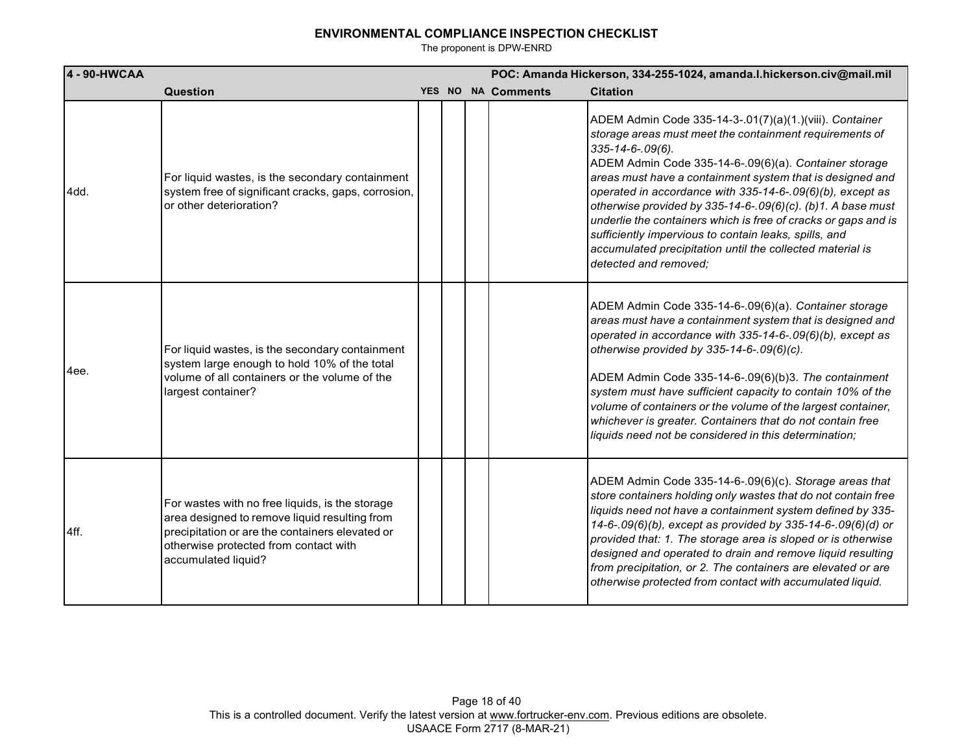| 4 - 90-HWCAA |                                                                                                                                                                                                                     |  | POC: Amanda Hickerson, 334-255-1024, amanda.l.hickerson.civ@mail.mil |                                                                                                                                                                                                                                                                                                                                                                                                                                                                                                                                                                                                                   |  |  |
|--------------|---------------------------------------------------------------------------------------------------------------------------------------------------------------------------------------------------------------------|--|----------------------------------------------------------------------|-------------------------------------------------------------------------------------------------------------------------------------------------------------------------------------------------------------------------------------------------------------------------------------------------------------------------------------------------------------------------------------------------------------------------------------------------------------------------------------------------------------------------------------------------------------------------------------------------------------------|--|--|
|              | Question                                                                                                                                                                                                            |  | YES NO NA Comments                                                   | <b>Citation</b>                                                                                                                                                                                                                                                                                                                                                                                                                                                                                                                                                                                                   |  |  |
| 4dd.         | For liquid wastes, is the secondary containment<br>system free of significant cracks, gaps, corrosion,<br>or other deterioration?                                                                                   |  |                                                                      | ADEM Admin Code 335-14-3-.01(7)(a)(1.)(viii). Container<br>storage areas must meet the containment requirements of<br>$335 - 14 - 6 - 09(6)$ .<br>ADEM Admin Code 335-14-6-.09(6)(a). Container storage<br>areas must have a containment system that is designed and<br>operated in accordance with 335-14-6-.09(6)(b), except as<br>otherwise provided by 335-14-6-.09(6)(c). (b)1. A base must<br>underlie the containers which is free of cracks or gaps and is<br>sufficiently impervious to contain leaks, spills, and<br>accumulated precipitation until the collected material is<br>detected and removed; |  |  |
| 4ee.         | For liquid wastes, is the secondary containment<br>system large enough to hold 10% of the total<br>volume of all containers or the volume of the<br>largest container?                                              |  |                                                                      | ADEM Admin Code 335-14-6-.09(6)(a). Container storage<br>areas must have a containment system that is designed and<br>operated in accordance with 335-14-6-.09(6)(b), except as<br>otherwise provided by 335-14-6-.09(6)(c).<br>ADEM Admin Code 335-14-6-.09(6)(b)3. The containment<br>system must have sufficient capacity to contain 10% of the<br>volume of containers or the volume of the largest container,<br>whichever is greater. Containers that do not contain free<br>liquids need not be considered in this determination;                                                                          |  |  |
| 4ff.         | For wastes with no free liquids, is the storage<br>area designed to remove liquid resulting from<br>precipitation or are the containers elevated or<br>otherwise protected from contact with<br>accumulated liquid? |  |                                                                      | ADEM Admin Code 335-14-6-.09(6)(c). Storage areas that<br>store containers holding only wastes that do not contain free<br>liquids need not have a containment system defined by 335-<br>14-6-.09(6)(b), except as provided by 335-14-6-.09(6)(d) or<br>provided that: 1. The storage area is sloped or is otherwise<br>designed and operated to drain and remove liquid resulting<br>from precipitation, or 2. The containers are elevated or are<br>otherwise protected from contact with accumulated liquid.                                                                                                   |  |  |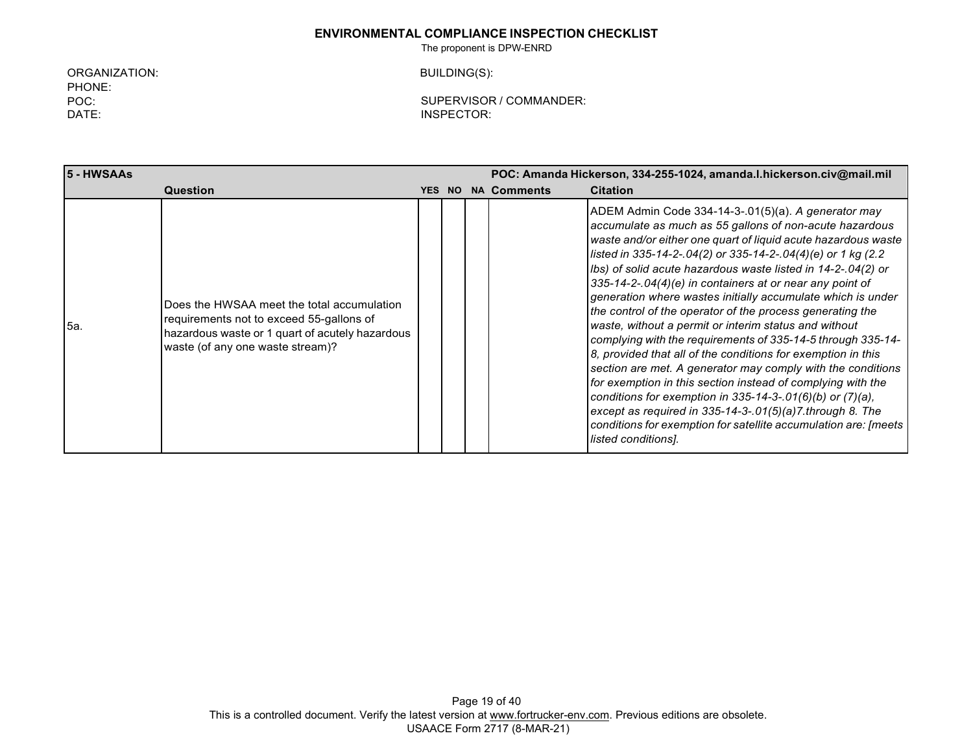The proponent is DPW-ENRD

ORGANIZATION: PHONE: POC: DATE:

BUILDING(S):

| 5 - HWSAAs |                                                                                                                                                                               | POC: Amanda Hickerson, 334-255-1024, amanda.l.hickerson.civ@mail.mil |  |                    |                                                                                                                                                                                                                                                                                                                                                                                                                                                                                                                                                                                                                                                                                                                                                                                                                                                                                                                                                                                                                                                       |
|------------|-------------------------------------------------------------------------------------------------------------------------------------------------------------------------------|----------------------------------------------------------------------|--|--------------------|-------------------------------------------------------------------------------------------------------------------------------------------------------------------------------------------------------------------------------------------------------------------------------------------------------------------------------------------------------------------------------------------------------------------------------------------------------------------------------------------------------------------------------------------------------------------------------------------------------------------------------------------------------------------------------------------------------------------------------------------------------------------------------------------------------------------------------------------------------------------------------------------------------------------------------------------------------------------------------------------------------------------------------------------------------|
|            | Question                                                                                                                                                                      | <b>YES NO</b>                                                        |  | <b>NA Comments</b> | <b>Citation</b>                                                                                                                                                                                                                                                                                                                                                                                                                                                                                                                                                                                                                                                                                                                                                                                                                                                                                                                                                                                                                                       |
| <b>5a.</b> | Does the HWSAA meet the total accumulation<br>requirements not to exceed 55-gallons of<br>hazardous waste or 1 quart of acutely hazardous<br>waste (of any one waste stream)? |                                                                      |  |                    | ADEM Admin Code 334-14-3-.01(5)(a). A generator may<br>accumulate as much as 55 gallons of non-acute hazardous<br>waste and/or either one quart of liquid acute hazardous waste<br>listed in 335-14-2-.04(2) or 335-14-2-.04(4)(e) or 1 kg (2.2<br>Ibs) of solid acute hazardous waste listed in 14-2-.04(2) or<br>335-14-2-.04(4)(e) in containers at or near any point of<br>generation where wastes initially accumulate which is under<br>the control of the operator of the process generating the<br>waste, without a permit or interim status and without<br>complying with the requirements of 335-14-5 through 335-14-<br>8, provided that all of the conditions for exemption in this<br>section are met. A generator may comply with the conditions<br>for exemption in this section instead of complying with the<br>conditions for exemption in 335-14-3-.01(6)(b) or $(7)(a)$ ,<br>except as required in 335-14-3-.01(5)(a)7.through 8. The<br>conditions for exemption for satellite accumulation are: [meets  <br>listed conditions]. |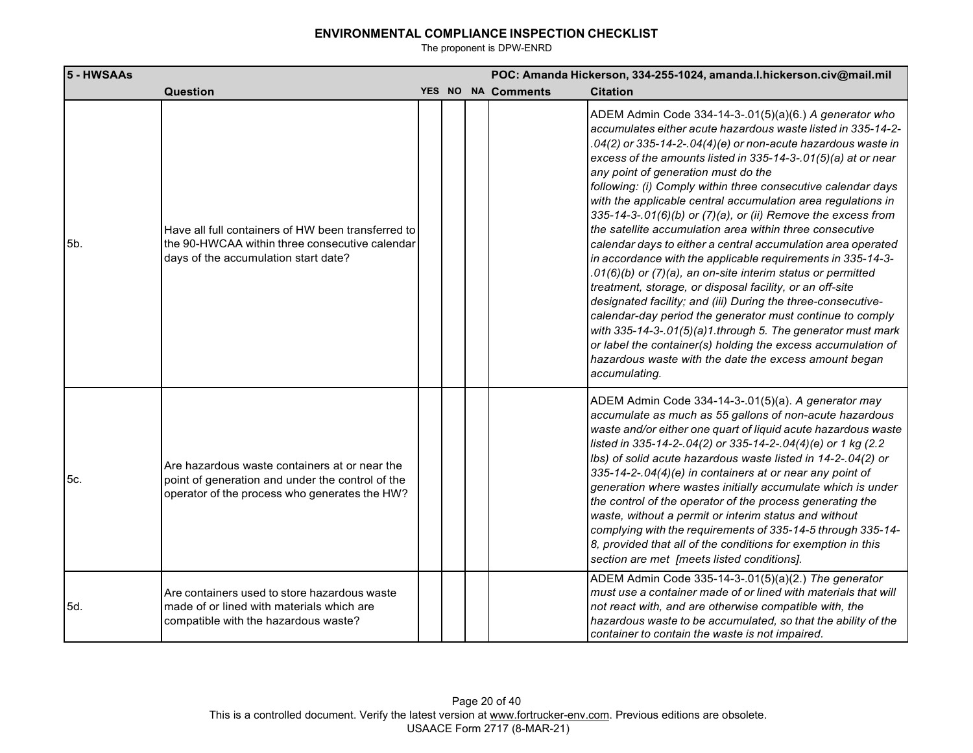| 5 - HWSAAs |                                                                                                                                                    |  |                    | POC: Amanda Hickerson, 334-255-1024, amanda.l.hickerson.civ@mail.mil                                                                                                                                                                                                                                                                                                                                                                                                                                                                                                                                                                                                                                                                                                                                                                                                                                                                                                                                                                                                                                                                                       |
|------------|----------------------------------------------------------------------------------------------------------------------------------------------------|--|--------------------|------------------------------------------------------------------------------------------------------------------------------------------------------------------------------------------------------------------------------------------------------------------------------------------------------------------------------------------------------------------------------------------------------------------------------------------------------------------------------------------------------------------------------------------------------------------------------------------------------------------------------------------------------------------------------------------------------------------------------------------------------------------------------------------------------------------------------------------------------------------------------------------------------------------------------------------------------------------------------------------------------------------------------------------------------------------------------------------------------------------------------------------------------------|
|            | Question                                                                                                                                           |  | YES NO NA Comments | <b>Citation</b>                                                                                                                                                                                                                                                                                                                                                                                                                                                                                                                                                                                                                                                                                                                                                                                                                                                                                                                                                                                                                                                                                                                                            |
| 5b.        | Have all full containers of HW been transferred to<br>the 90-HWCAA within three consecutive calendar<br>days of the accumulation start date?       |  |                    | ADEM Admin Code 334-14-3-.01(5)(a)(6.) A generator who<br>accumulates either acute hazardous waste listed in 335-14-2-<br>.04(2) or 335-14-2-.04(4)(e) or non-acute hazardous waste in<br>excess of the amounts listed in 335-14-3-.01(5)(a) at or near<br>any point of generation must do the<br>following: (i) Comply within three consecutive calendar days<br>with the applicable central accumulation area regulations in<br>335-14-3-.01(6)(b) or (7)(a), or (ii) Remove the excess from<br>the satellite accumulation area within three consecutive<br>calendar days to either a central accumulation area operated<br>in accordance with the applicable requirements in 335-14-3-<br>.01(6)(b) or (7)(a), an on-site interim status or permitted<br>treatment, storage, or disposal facility, or an off-site<br>designated facility; and (iii) During the three-consecutive-<br>calendar-day period the generator must continue to comply<br>with 335-14-3-.01(5)(a)1.through 5. The generator must mark<br>or label the container(s) holding the excess accumulation of<br>hazardous waste with the date the excess amount began<br>accumulating. |
| 5c.        | Are hazardous waste containers at or near the<br>point of generation and under the control of the<br>operator of the process who generates the HW? |  |                    | ADEM Admin Code 334-14-3-.01(5)(a). A generator may<br>accumulate as much as 55 gallons of non-acute hazardous<br>waste and/or either one quart of liquid acute hazardous waste<br>listed in 335-14-2-.04(2) or 335-14-2-.04(4)(e) or 1 kg (2.2<br>Ibs) of solid acute hazardous waste listed in 14-2-.04(2) or<br>335-14-2-.04(4)(e) in containers at or near any point of<br>generation where wastes initially accumulate which is under<br>the control of the operator of the process generating the<br>waste, without a permit or interim status and without<br>complying with the requirements of 335-14-5 through 335-14-<br>8, provided that all of the conditions for exemption in this<br>section are met [meets listed conditions].                                                                                                                                                                                                                                                                                                                                                                                                              |
| 5d.        | Are containers used to store hazardous waste<br>made of or lined with materials which are<br>compatible with the hazardous waste?                  |  |                    | ADEM Admin Code 335-14-3-.01(5)(a)(2.) The generator<br>must use a container made of or lined with materials that will<br>not react with, and are otherwise compatible with, the<br>hazardous waste to be accumulated, so that the ability of the<br>container to contain the waste is not impaired.                                                                                                                                                                                                                                                                                                                                                                                                                                                                                                                                                                                                                                                                                                                                                                                                                                                       |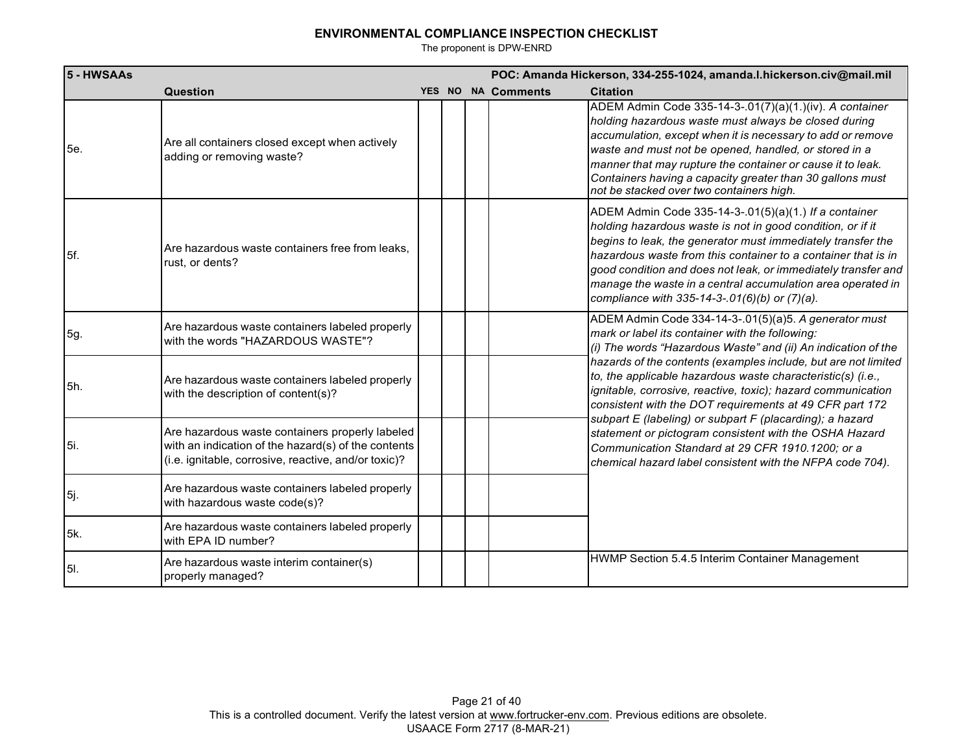| 5 - HWSAAs  |                                                                                                                                                                |  |                    | POC: Amanda Hickerson, 334-255-1024, amanda.l.hickerson.civ@mail.mil                                                                                                                                                                                                                                                                                                                                                                 |
|-------------|----------------------------------------------------------------------------------------------------------------------------------------------------------------|--|--------------------|--------------------------------------------------------------------------------------------------------------------------------------------------------------------------------------------------------------------------------------------------------------------------------------------------------------------------------------------------------------------------------------------------------------------------------------|
|             | <b>Question</b>                                                                                                                                                |  | YES NO NA Comments | <b>Citation</b>                                                                                                                                                                                                                                                                                                                                                                                                                      |
| 5e.         | Are all containers closed except when actively<br>adding or removing waste?                                                                                    |  |                    | ADEM Admin Code 335-14-3-.01(7)(a)(1.)(iv). A container<br>holding hazardous waste must always be closed during<br>accumulation, except when it is necessary to add or remove<br>waste and must not be opened, handled, or stored in a<br>manner that may rupture the container or cause it to leak.<br>Containers having a capacity greater than 30 gallons must<br>not be stacked over two containers high.                        |
| 5f.         | Are hazardous waste containers free from leaks.<br>rust, or dents?                                                                                             |  |                    | ADEM Admin Code 335-14-3-.01(5)(a)(1.) If a container<br>holding hazardous waste is not in good condition, or if it<br>begins to leak, the generator must immediately transfer the<br>hazardous waste from this container to a container that is in<br>good condition and does not leak, or immediately transfer and<br>manage the waste in a central accumulation area operated in<br>compliance with 335-14-3-.01(6)(b) or (7)(a). |
| 5g.         | Are hazardous waste containers labeled properly<br>with the words "HAZARDOUS WASTE"?                                                                           |  |                    | ADEM Admin Code 334-14-3-.01(5)(a)5. A generator must<br>mark or label its container with the following:<br>(i) The words "Hazardous Waste" and (ii) An indication of the                                                                                                                                                                                                                                                            |
| 5h.         | Are hazardous waste containers labeled properly<br>with the description of content(s)?                                                                         |  |                    | hazards of the contents (examples include, but are not limited<br>to, the applicable hazardous waste characteristic(s) (i.e.,<br>ignitable, corrosive, reactive, toxic); hazard communication<br>consistent with the DOT requirements at 49 CFR part 172                                                                                                                                                                             |
| 5i.         | Are hazardous waste containers properly labeled<br>with an indication of the hazard(s) of the contents<br>(i.e. ignitable, corrosive, reactive, and/or toxic)? |  |                    | subpart E (labeling) or subpart F (placarding); a hazard<br>statement or pictogram consistent with the OSHA Hazard<br>Communication Standard at 29 CFR 1910.1200; or a<br>chemical hazard label consistent with the NFPA code 704).                                                                                                                                                                                                  |
| 5j.         | Are hazardous waste containers labeled properly<br>with hazardous waste code(s)?                                                                               |  |                    |                                                                                                                                                                                                                                                                                                                                                                                                                                      |
| 5k.         | Are hazardous waste containers labeled properly<br>with EPA ID number?                                                                                         |  |                    |                                                                                                                                                                                                                                                                                                                                                                                                                                      |
| <b>5</b> I. | Are hazardous waste interim container(s)<br>properly managed?                                                                                                  |  |                    | HWMP Section 5.4.5 Interim Container Management                                                                                                                                                                                                                                                                                                                                                                                      |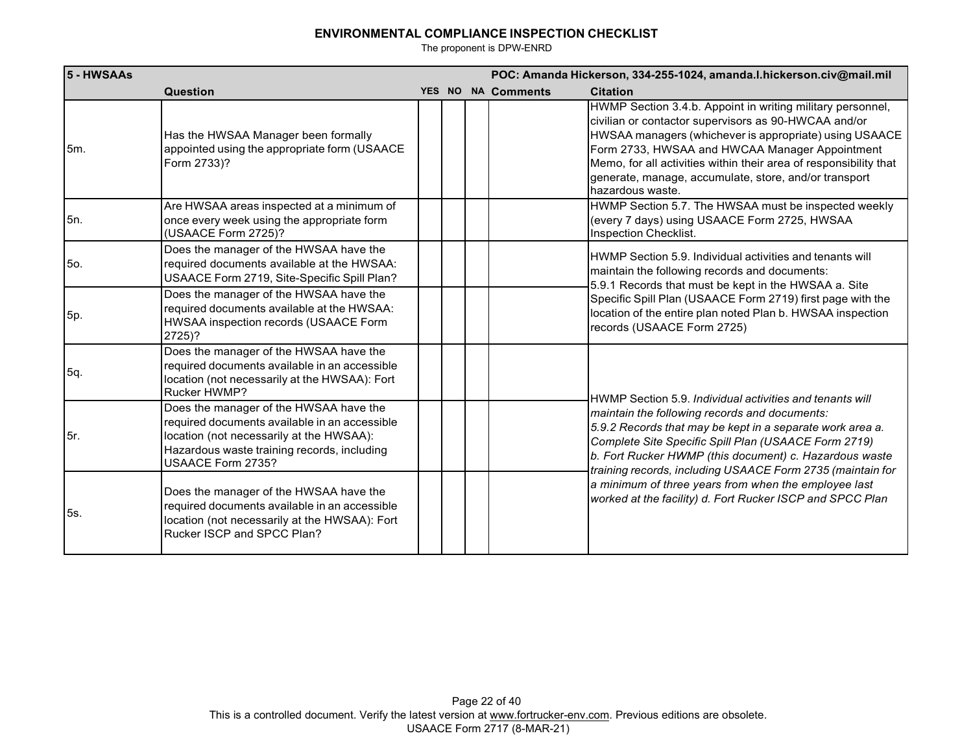| 5 - HWSAAs |                                                                                                                                                                                                         |  |                    | POC: Amanda Hickerson, 334-255-1024, amanda.l.hickerson.civ@mail.mil                                                                                                                                                                                                                                                                                                             |
|------------|---------------------------------------------------------------------------------------------------------------------------------------------------------------------------------------------------------|--|--------------------|----------------------------------------------------------------------------------------------------------------------------------------------------------------------------------------------------------------------------------------------------------------------------------------------------------------------------------------------------------------------------------|
|            | Question                                                                                                                                                                                                |  | YES NO NA Comments | <b>Citation</b>                                                                                                                                                                                                                                                                                                                                                                  |
| 5m.        | Has the HWSAA Manager been formally<br>appointed using the appropriate form (USAACE<br>Form 2733)?                                                                                                      |  |                    | HWMP Section 3.4.b. Appoint in writing military personnel,<br>civilian or contactor supervisors as 90-HWCAA and/or<br>HWSAA managers (whichever is appropriate) using USAACE<br>Form 2733, HWSAA and HWCAA Manager Appointment<br>Memo, for all activities within their area of responsibility that<br>generate, manage, accumulate, store, and/or transport<br>hazardous waste. |
| 5n.        | Are HWSAA areas inspected at a minimum of<br>once every week using the appropriate form<br>(USAACE Form 2725)?                                                                                          |  |                    | HWMP Section 5.7. The HWSAA must be inspected weekly<br>(every 7 days) using USAACE Form 2725, HWSAA<br>Inspection Checklist.                                                                                                                                                                                                                                                    |
| 5o.        | Does the manager of the HWSAA have the<br>required documents available at the HWSAA:<br>USAACE Form 2719, Site-Specific Spill Plan?                                                                     |  |                    | HWMP Section 5.9. Individual activities and tenants will<br>maintain the following records and documents:                                                                                                                                                                                                                                                                        |
| 5p.        | Does the manager of the HWSAA have the<br>required documents available at the HWSAA:<br>HWSAA inspection records (USAACE Form<br>2725)?                                                                 |  |                    | 5.9.1 Records that must be kept in the HWSAA a. Site<br>Specific Spill Plan (USAACE Form 2719) first page with the<br>location of the entire plan noted Plan b. HWSAA inspection<br>records (USAACE Form 2725)                                                                                                                                                                   |
| 5q.        | Does the manager of the HWSAA have the<br>required documents available in an accessible<br>location (not necessarily at the HWSAA): Fort<br><b>Rucker HWMP?</b>                                         |  |                    | HWMP Section 5.9. Individual activities and tenants will                                                                                                                                                                                                                                                                                                                         |
| 5r.        | Does the manager of the HWSAA have the<br>required documents available in an accessible<br>location (not necessarily at the HWSAA):<br>Hazardous waste training records, including<br>USAACE Form 2735? |  |                    | maintain the following records and documents:<br>5.9.2 Records that may be kept in a separate work area a.<br>Complete Site Specific Spill Plan (USAACE Form 2719)<br>b. Fort Rucker HWMP (this document) c. Hazardous waste<br>training records, including USAACE Form 2735 (maintain for                                                                                       |
| 5s.        | Does the manager of the HWSAA have the<br>required documents available in an accessible<br>location (not necessarily at the HWSAA): Fort<br>Rucker ISCP and SPCC Plan?                                  |  |                    | a minimum of three years from when the employee last<br>worked at the facility) d. Fort Rucker ISCP and SPCC Plan                                                                                                                                                                                                                                                                |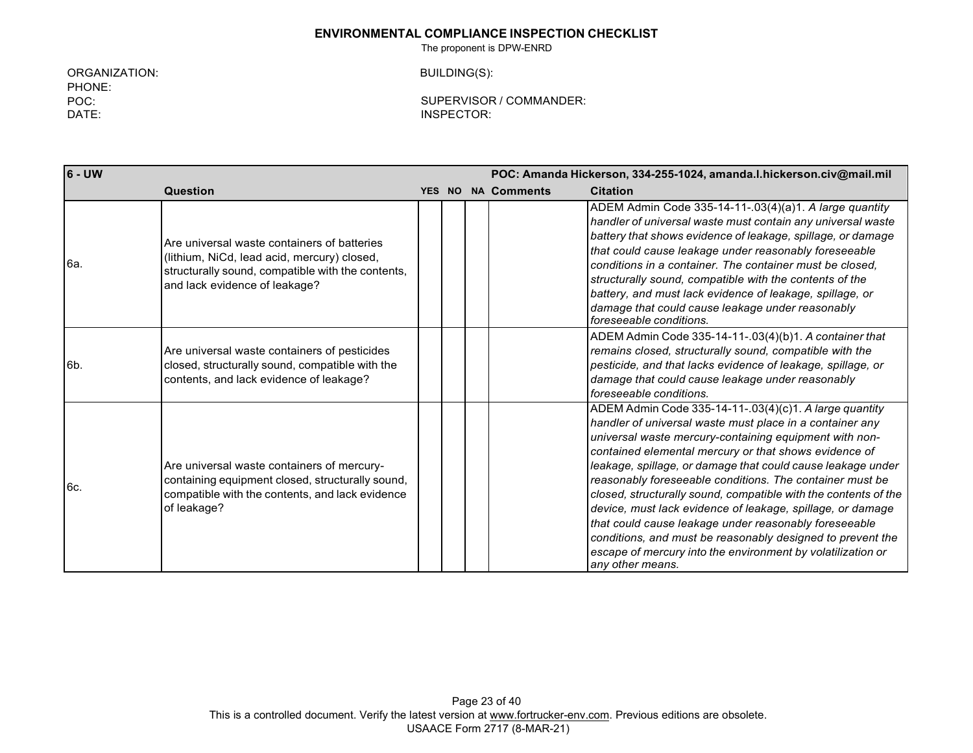The proponent is DPW-ENRD

ORGANIZATION: PHONE: POC: DATE:

BUILDING(S):

| $6 - UW$       |                                                                                                                                                                                  |  | POC: Amanda Hickerson, 334-255-1024, amanda.l.hickerson.civ@mail.mil |                    |                                                                                                                                                                                                                                                                                                                                                                                                                                                                                                                                                                                                                                                                                                             |  |
|----------------|----------------------------------------------------------------------------------------------------------------------------------------------------------------------------------|--|----------------------------------------------------------------------|--------------------|-------------------------------------------------------------------------------------------------------------------------------------------------------------------------------------------------------------------------------------------------------------------------------------------------------------------------------------------------------------------------------------------------------------------------------------------------------------------------------------------------------------------------------------------------------------------------------------------------------------------------------------------------------------------------------------------------------------|--|
|                | Question                                                                                                                                                                         |  |                                                                      | YES NO NA Comments | <b>Citation</b>                                                                                                                                                                                                                                                                                                                                                                                                                                                                                                                                                                                                                                                                                             |  |
| 6a.            | Are universal waste containers of batteries<br>(lithium, NiCd, lead acid, mercury) closed,<br>structurally sound, compatible with the contents,<br>and lack evidence of leakage? |  |                                                                      |                    | ADEM Admin Code 335-14-11-.03(4)(a)1. A large quantity<br>handler of universal waste must contain any universal waste<br>battery that shows evidence of leakage, spillage, or damage<br>that could cause leakage under reasonably foreseeable<br>conditions in a container. The container must be closed.<br>structurally sound, compatible with the contents of the<br>battery, and must lack evidence of leakage, spillage, or<br>damage that could cause leakage under reasonably<br>foreseeable conditions.                                                                                                                                                                                             |  |
| 6 <sub>b</sub> | Are universal waste containers of pesticides<br>closed, structurally sound, compatible with the<br>contents, and lack evidence of leakage?                                       |  |                                                                      |                    | ADEM Admin Code 335-14-11-.03(4)(b)1. A container that<br>remains closed, structurally sound, compatible with the<br>pesticide, and that lacks evidence of leakage, spillage, or<br>damage that could cause leakage under reasonably<br>foreseeable conditions.                                                                                                                                                                                                                                                                                                                                                                                                                                             |  |
| 6c.            | Are universal waste containers of mercury-<br>containing equipment closed, structurally sound,<br>compatible with the contents, and lack evidence<br>of leakage?                 |  |                                                                      |                    | ADEM Admin Code 335-14-11-.03(4)(c)1. A large quantity<br>handler of universal waste must place in a container any<br>universal waste mercury-containing equipment with non-<br>contained elemental mercury or that shows evidence of<br>leakage, spillage, or damage that could cause leakage under<br>reasonably foreseeable conditions. The container must be<br>closed, structurally sound, compatible with the contents of the<br>device, must lack evidence of leakage, spillage, or damage<br>that could cause leakage under reasonably foreseeable<br>conditions, and must be reasonably designed to prevent the<br>escape of mercury into the environment by volatilization or<br>any other means. |  |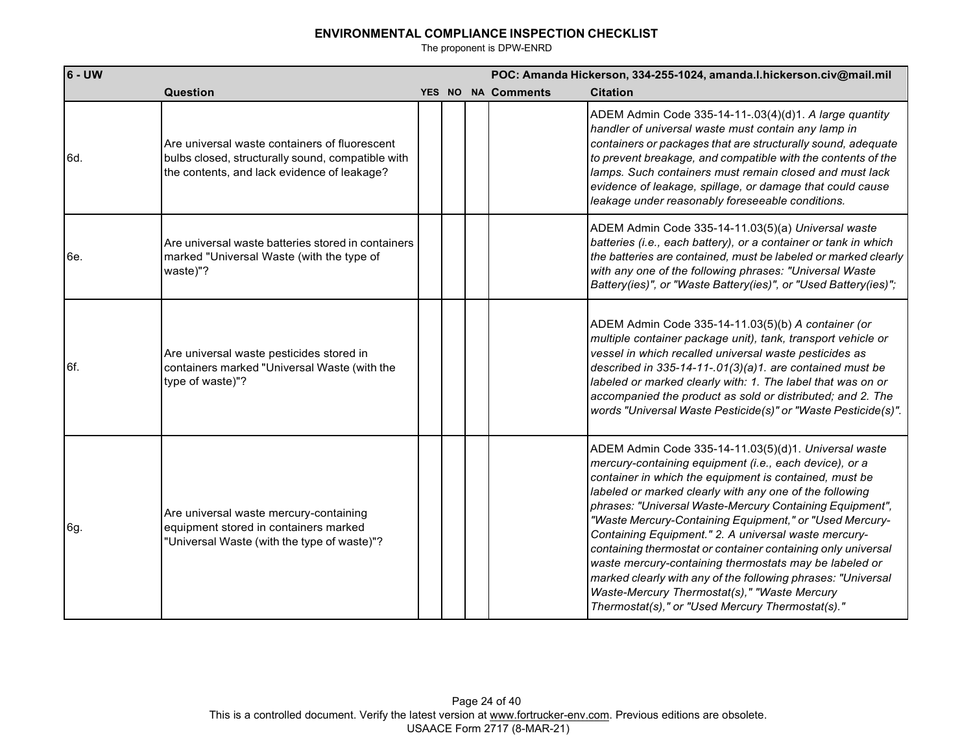| $6 - UW$ |                                                                                                                                                   |  | POC: Amanda Hickerson, 334-255-1024, amanda.l.hickerson.civ@mail.mil |                                                                                                                                                                                                                                                                                                                                                                                                                                                                                                                                                                                                                                                                                                                  |  |  |
|----------|---------------------------------------------------------------------------------------------------------------------------------------------------|--|----------------------------------------------------------------------|------------------------------------------------------------------------------------------------------------------------------------------------------------------------------------------------------------------------------------------------------------------------------------------------------------------------------------------------------------------------------------------------------------------------------------------------------------------------------------------------------------------------------------------------------------------------------------------------------------------------------------------------------------------------------------------------------------------|--|--|
|          | Question                                                                                                                                          |  | <b>YES NO NA Comments</b>                                            | <b>Citation</b>                                                                                                                                                                                                                                                                                                                                                                                                                                                                                                                                                                                                                                                                                                  |  |  |
| 6d.      | Are universal waste containers of fluorescent<br>bulbs closed, structurally sound, compatible with<br>the contents, and lack evidence of leakage? |  |                                                                      | ADEM Admin Code 335-14-11-.03(4)(d)1. A large quantity<br>handler of universal waste must contain any lamp in<br>containers or packages that are structurally sound, adequate<br>to prevent breakage, and compatible with the contents of the<br>lamps. Such containers must remain closed and must lack<br>evidence of leakage, spillage, or damage that could cause<br>leakage under reasonably foreseeable conditions.                                                                                                                                                                                                                                                                                        |  |  |
| 6e.      | Are universal waste batteries stored in containers<br>marked "Universal Waste (with the type of<br>waste)"?                                       |  |                                                                      | ADEM Admin Code 335-14-11.03(5)(a) Universal waste<br>batteries (i.e., each battery), or a container or tank in which<br>the batteries are contained, must be labeled or marked clearly<br>with any one of the following phrases: "Universal Waste<br>Battery(ies)", or "Waste Battery(ies)", or "Used Battery(ies)";                                                                                                                                                                                                                                                                                                                                                                                            |  |  |
| 6f.      | Are universal waste pesticides stored in<br>containers marked "Universal Waste (with the<br>type of waste)"?                                      |  |                                                                      | ADEM Admin Code 335-14-11.03(5)(b) A container (or<br>multiple container package unit), tank, transport vehicle or<br>vessel in which recalled universal waste pesticides as<br>described in 335-14-11-.01(3)(a)1. are contained must be<br>labeled or marked clearly with: 1. The label that was on or<br>accompanied the product as sold or distributed; and 2. The<br>words "Universal Waste Pesticide(s)" or "Waste Pesticide(s)".                                                                                                                                                                                                                                                                           |  |  |
| 6g.      | Are universal waste mercury-containing<br>equipment stored in containers marked<br>"Universal Waste (with the type of waste)"?                    |  |                                                                      | ADEM Admin Code 335-14-11.03(5)(d)1. Universal waste<br>mercury-containing equipment (i.e., each device), or a<br>container in which the equipment is contained, must be<br>labeled or marked clearly with any one of the following<br>phrases: "Universal Waste-Mercury Containing Equipment",<br>"Waste Mercury-Containing Equipment," or "Used Mercury-<br>Containing Equipment." 2. A universal waste mercury-<br>containing thermostat or container containing only universal<br>waste mercury-containing thermostats may be labeled or<br>marked clearly with any of the following phrases: "Universal<br>Waste-Mercury Thermostat(s)," "Waste Mercury<br>Thermostat(s)," or "Used Mercury Thermostat(s)." |  |  |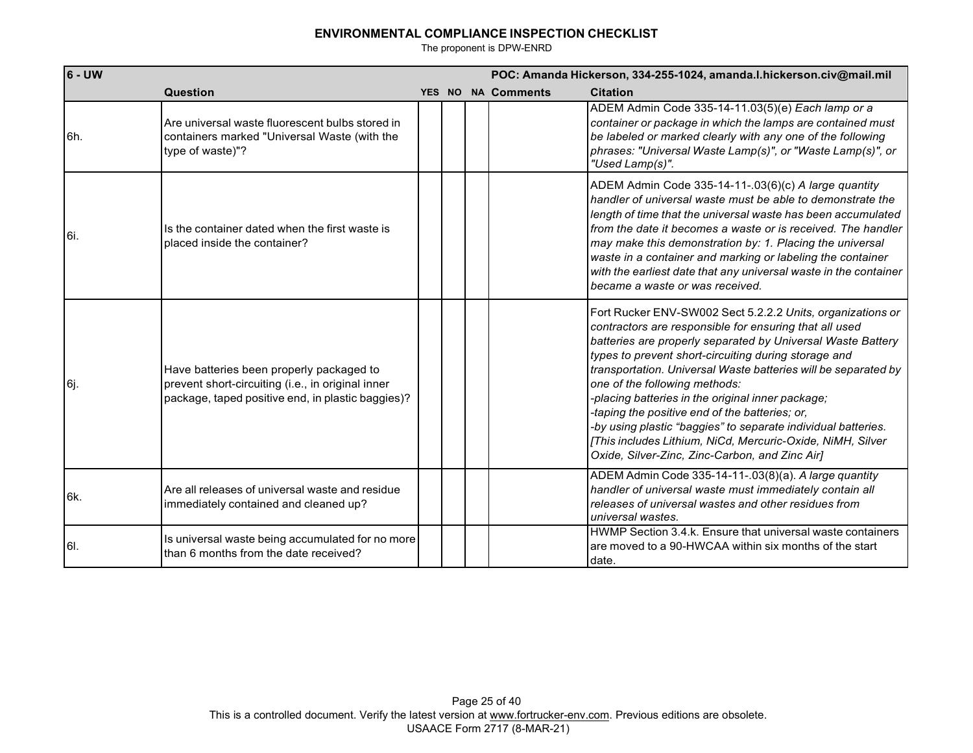| 6 - UW |                                                                                                                                                    |  | POC: Amanda Hickerson, 334-255-1024, amanda.l.hickerson.civ@mail.mil |                    |                                                                                                                                                                                                                                                                                                                                                                                                                                                                                                                                                                                                                                        |  |  |
|--------|----------------------------------------------------------------------------------------------------------------------------------------------------|--|----------------------------------------------------------------------|--------------------|----------------------------------------------------------------------------------------------------------------------------------------------------------------------------------------------------------------------------------------------------------------------------------------------------------------------------------------------------------------------------------------------------------------------------------------------------------------------------------------------------------------------------------------------------------------------------------------------------------------------------------------|--|--|
|        | Question                                                                                                                                           |  |                                                                      | YES NO NA Comments | <b>Citation</b>                                                                                                                                                                                                                                                                                                                                                                                                                                                                                                                                                                                                                        |  |  |
| 6h.    | Are universal waste fluorescent bulbs stored in<br>containers marked "Universal Waste (with the<br>type of waste)"?                                |  |                                                                      |                    | ADEM Admin Code 335-14-11.03(5)(e) Each lamp or a<br>container or package in which the lamps are contained must<br>be labeled or marked clearly with any one of the following<br>phrases: "Universal Waste Lamp(s)", or "Waste Lamp(s)", or<br>"Used Lamp(s)".                                                                                                                                                                                                                                                                                                                                                                         |  |  |
| 6i.    | Is the container dated when the first waste is<br>placed inside the container?                                                                     |  |                                                                      |                    | ADEM Admin Code 335-14-11-.03(6)(c) A large quantity<br>handler of universal waste must be able to demonstrate the<br>length of time that the universal waste has been accumulated<br>from the date it becomes a waste or is received. The handler<br>may make this demonstration by: 1. Placing the universal<br>waste in a container and marking or labeling the container<br>with the earliest date that any universal waste in the container<br>became a waste or was received.                                                                                                                                                    |  |  |
| lбj.   | Have batteries been properly packaged to<br>prevent short-circuiting (i.e., in original inner<br>package, taped positive end, in plastic baggies)? |  |                                                                      |                    | Fort Rucker ENV-SW002 Sect 5.2.2.2 Units, organizations or<br>contractors are responsible for ensuring that all used<br>batteries are properly separated by Universal Waste Battery<br>types to prevent short-circuiting during storage and<br>transportation. Universal Waste batteries will be separated by<br>one of the following methods:<br>-placing batteries in the original inner package;<br>-taping the positive end of the batteries; or,<br>-by using plastic "baggies" to separate individual batteries.<br>[This includes Lithium, NiCd, Mercuric-Oxide, NiMH, Silver<br>Oxide, Silver-Zinc, Zinc-Carbon, and Zinc Air] |  |  |
| 16k.   | Are all releases of universal waste and residue<br>immediately contained and cleaned up?                                                           |  |                                                                      |                    | ADEM Admin Code 335-14-11-.03(8)(a). A large quantity<br>handler of universal waste must immediately contain all<br>releases of universal wastes and other residues from<br>universal wastes.                                                                                                                                                                                                                                                                                                                                                                                                                                          |  |  |
| 6I.    | Is universal waste being accumulated for no more<br>than 6 months from the date received?                                                          |  |                                                                      |                    | HWMP Section 3.4.k. Ensure that universal waste containers<br>are moved to a 90-HWCAA within six months of the start<br>date.                                                                                                                                                                                                                                                                                                                                                                                                                                                                                                          |  |  |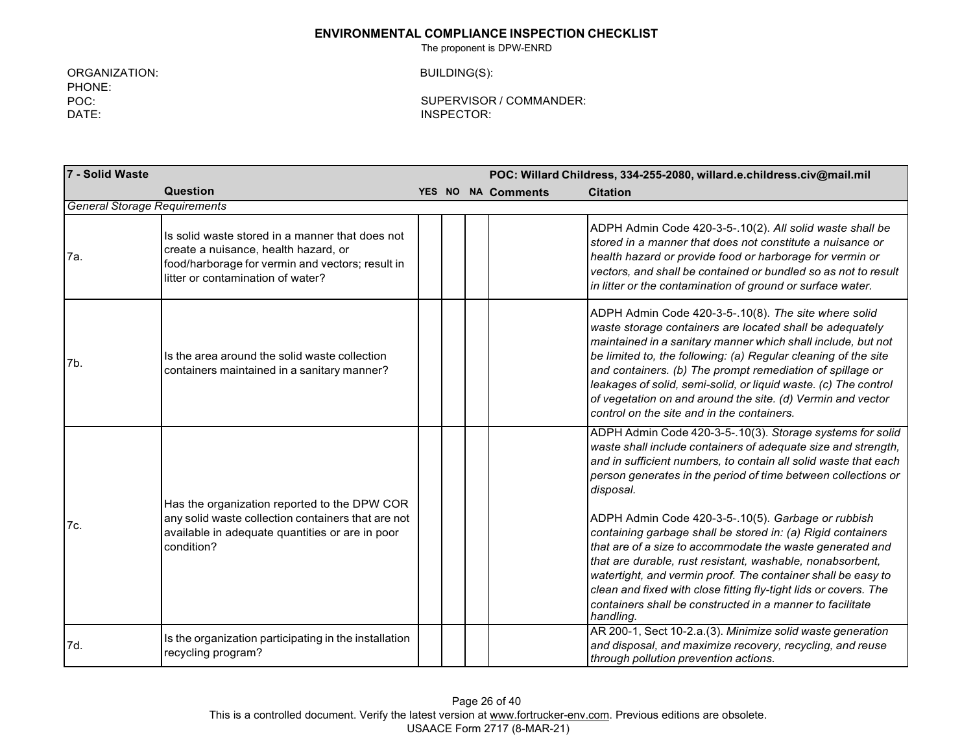The proponent is DPW-ENRD

ORGANIZATION: PHONE: POC: DATE:

BUILDING(S):

| 7 - Solid Waste                     |                                                                                                                                                                                  |  |                           | POC: Willard Childress, 334-255-2080, willard.e.childress.civ@mail.mil                                                                                                                                                                                                                                                                                                                                                                                                                                                                                                                                                                                                                                                                   |
|-------------------------------------|----------------------------------------------------------------------------------------------------------------------------------------------------------------------------------|--|---------------------------|------------------------------------------------------------------------------------------------------------------------------------------------------------------------------------------------------------------------------------------------------------------------------------------------------------------------------------------------------------------------------------------------------------------------------------------------------------------------------------------------------------------------------------------------------------------------------------------------------------------------------------------------------------------------------------------------------------------------------------------|
|                                     | Question                                                                                                                                                                         |  | <b>YES NO NA Comments</b> | <b>Citation</b>                                                                                                                                                                                                                                                                                                                                                                                                                                                                                                                                                                                                                                                                                                                          |
| <b>General Storage Requirements</b> |                                                                                                                                                                                  |  |                           |                                                                                                                                                                                                                                                                                                                                                                                                                                                                                                                                                                                                                                                                                                                                          |
| 7a.                                 | Is solid waste stored in a manner that does not<br>create a nuisance, health hazard, or<br>food/harborage for vermin and vectors; result in<br>litter or contamination of water? |  |                           | ADPH Admin Code 420-3-5-.10(2). All solid waste shall be<br>stored in a manner that does not constitute a nuisance or<br>health hazard or provide food or harborage for vermin or<br>vectors, and shall be contained or bundled so as not to result<br>in litter or the contamination of ground or surface water.                                                                                                                                                                                                                                                                                                                                                                                                                        |
| 7b.                                 | Is the area around the solid waste collection<br>containers maintained in a sanitary manner?                                                                                     |  |                           | ADPH Admin Code 420-3-5-.10(8). The site where solid<br>waste storage containers are located shall be adequately<br>maintained in a sanitary manner which shall include, but not<br>be limited to, the following: (a) Regular cleaning of the site<br>and containers. (b) The prompt remediation of spillage or<br>leakages of solid, semi-solid, or liquid waste. (c) The control<br>of vegetation on and around the site. (d) Vermin and vector<br>control on the site and in the containers.                                                                                                                                                                                                                                          |
| 7c.                                 | Has the organization reported to the DPW COR<br>any solid waste collection containers that are not<br>available in adequate quantities or are in poor<br>condition?              |  |                           | ADPH Admin Code 420-3-5-.10(3). Storage systems for solid<br>waste shall include containers of adequate size and strength,<br>and in sufficient numbers, to contain all solid waste that each<br>person generates in the period of time between collections or<br>disposal.<br>ADPH Admin Code 420-3-5-.10(5). Garbage or rubbish<br>containing garbage shall be stored in: (a) Rigid containers<br>that are of a size to accommodate the waste generated and<br>that are durable, rust resistant, washable, nonabsorbent,<br>watertight, and vermin proof. The container shall be easy to<br>clean and fixed with close fitting fly-tight lids or covers. The<br>containers shall be constructed in a manner to facilitate<br>handling. |
| 7d.                                 | Is the organization participating in the installation<br>recycling program?                                                                                                      |  |                           | AR 200-1, Sect 10-2.a.(3). Minimize solid waste generation<br>and disposal, and maximize recovery, recycling, and reuse<br>through pollution prevention actions.                                                                                                                                                                                                                                                                                                                                                                                                                                                                                                                                                                         |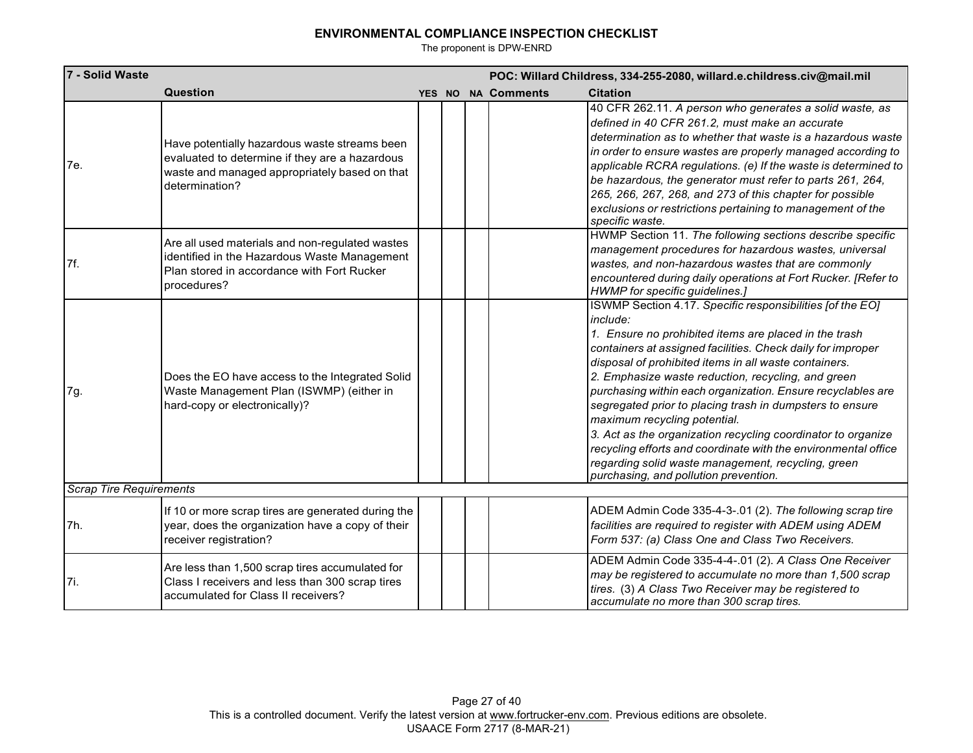| 7 - Solid Waste                | POC: Willard Childress, 334-255-2080, willard.e.childress.civ@mail.mil                                                                                             |  |  |  |                           |                                                                                                                                                                                                                                                                                                                                                                                                                                                                                                                                                                                                                                                                                                          |  |  |  |  |
|--------------------------------|--------------------------------------------------------------------------------------------------------------------------------------------------------------------|--|--|--|---------------------------|----------------------------------------------------------------------------------------------------------------------------------------------------------------------------------------------------------------------------------------------------------------------------------------------------------------------------------------------------------------------------------------------------------------------------------------------------------------------------------------------------------------------------------------------------------------------------------------------------------------------------------------------------------------------------------------------------------|--|--|--|--|
|                                | <b>Question</b>                                                                                                                                                    |  |  |  | <b>YES NO NA Comments</b> | <b>Citation</b>                                                                                                                                                                                                                                                                                                                                                                                                                                                                                                                                                                                                                                                                                          |  |  |  |  |
| 7e.                            | Have potentially hazardous waste streams been<br>evaluated to determine if they are a hazardous<br>waste and managed appropriately based on that<br>determination? |  |  |  |                           | 40 CFR 262.11. A person who generates a solid waste, as<br>defined in 40 CFR 261.2, must make an accurate<br>determination as to whether that waste is a hazardous waste<br>in order to ensure wastes are properly managed according to<br>applicable RCRA regulations. (e) If the waste is determined to<br>be hazardous, the generator must refer to parts 261, 264,<br>265, 266, 267, 268, and 273 of this chapter for possible<br>exclusions or restrictions pertaining to management of the<br>specific waste.                                                                                                                                                                                      |  |  |  |  |
| 7f.                            | Are all used materials and non-regulated wastes<br>identified in the Hazardous Waste Management<br>Plan stored in accordance with Fort Rucker<br>procedures?       |  |  |  |                           | HWMP Section 11. The following sections describe specific<br>management procedures for hazardous wastes, universal<br>wastes, and non-hazardous wastes that are commonly<br>encountered during daily operations at Fort Rucker. [Refer to<br>HWMP for specific guidelines.]                                                                                                                                                                                                                                                                                                                                                                                                                              |  |  |  |  |
| 7g.                            | Does the EO have access to the Integrated Solid<br>Waste Management Plan (ISWMP) (either in<br>hard-copy or electronically)?                                       |  |  |  |                           | ISWMP Section 4.17. Specific responsibilities [of the EO]<br>include:<br>1. Ensure no prohibited items are placed in the trash<br>containers at assigned facilities. Check daily for improper<br>disposal of prohibited items in all waste containers.<br>2. Emphasize waste reduction, recycling, and green<br>purchasing within each organization. Ensure recyclables are<br>segregated prior to placing trash in dumpsters to ensure<br>maximum recycling potential.<br>3. Act as the organization recycling coordinator to organize<br>recycling efforts and coordinate with the environmental office<br>regarding solid waste management, recycling, green<br>purchasing, and pollution prevention. |  |  |  |  |
| <b>Scrap Tire Requirements</b> |                                                                                                                                                                    |  |  |  |                           |                                                                                                                                                                                                                                                                                                                                                                                                                                                                                                                                                                                                                                                                                                          |  |  |  |  |
| 7h.                            | If 10 or more scrap tires are generated during the<br>year, does the organization have a copy of their<br>receiver registration?                                   |  |  |  |                           | ADEM Admin Code 335-4-3-.01 (2). The following scrap tire<br>facilities are required to register with ADEM using ADEM<br>Form 537: (a) Class One and Class Two Receivers.                                                                                                                                                                                                                                                                                                                                                                                                                                                                                                                                |  |  |  |  |
| 7i.                            | Are less than 1,500 scrap tires accumulated for<br>Class I receivers and less than 300 scrap tires<br>accumulated for Class II receivers?                          |  |  |  |                           | ADEM Admin Code 335-4-4-.01 (2). A Class One Receiver<br>may be registered to accumulate no more than 1,500 scrap<br>tires. (3) A Class Two Receiver may be registered to<br>accumulate no more than 300 scrap tires.                                                                                                                                                                                                                                                                                                                                                                                                                                                                                    |  |  |  |  |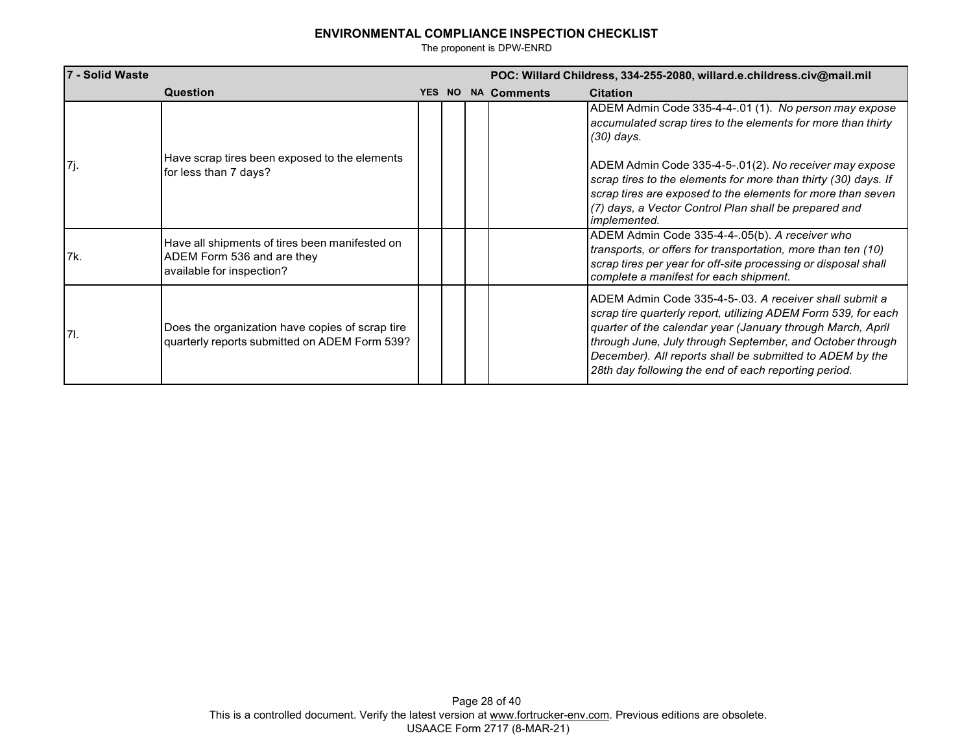| 7 - Solid Waste |                                                                                                           | POC: Willard Childress, 334-255-2080, willard.e.childress.civ@mail.mil |  |                    |                                                                                                                                                                                                                                                                                                                                                                         |
|-----------------|-----------------------------------------------------------------------------------------------------------|------------------------------------------------------------------------|--|--------------------|-------------------------------------------------------------------------------------------------------------------------------------------------------------------------------------------------------------------------------------------------------------------------------------------------------------------------------------------------------------------------|
|                 | Question                                                                                                  | <b>YES NO</b>                                                          |  | <b>NA Comments</b> | <b>Citation</b>                                                                                                                                                                                                                                                                                                                                                         |
| 17j.            |                                                                                                           |                                                                        |  |                    | ADEM Admin Code 335-4-4-.01 (1). No person may expose<br>accumulated scrap tires to the elements for more than thirty<br>(30) days.                                                                                                                                                                                                                                     |
|                 | Have scrap tires been exposed to the elements<br>for less than 7 days?                                    |                                                                        |  |                    | ADEM Admin Code 335-4-5-.01(2). No receiver may expose<br>scrap tires to the elements for more than thirty (30) days. If<br>scrap tires are exposed to the elements for more than seven<br>(7) days, a Vector Control Plan shall be prepared and<br><i>implemented.</i>                                                                                                 |
| 7k.             | Have all shipments of tires been manifested on<br>ADEM Form 536 and are they<br>available for inspection? |                                                                        |  |                    | ADEM Admin Code 335-4-4-.05(b). A receiver who<br>transports, or offers for transportation, more than ten (10)<br>scrap tires per year for off-site processing or disposal shall<br>complete a manifest for each shipment.                                                                                                                                              |
| I 71.           | Does the organization have copies of scrap tire<br>quarterly reports submitted on ADEM Form 539?          |                                                                        |  |                    | ADEM Admin Code 335-4-5-.03. A receiver shall submit a<br>scrap tire quarterly report, utilizing ADEM Form 539, for each<br>quarter of the calendar year (January through March, April<br>through June, July through September, and October through<br>December). All reports shall be submitted to ADEM by the<br>28th day following the end of each reporting period. |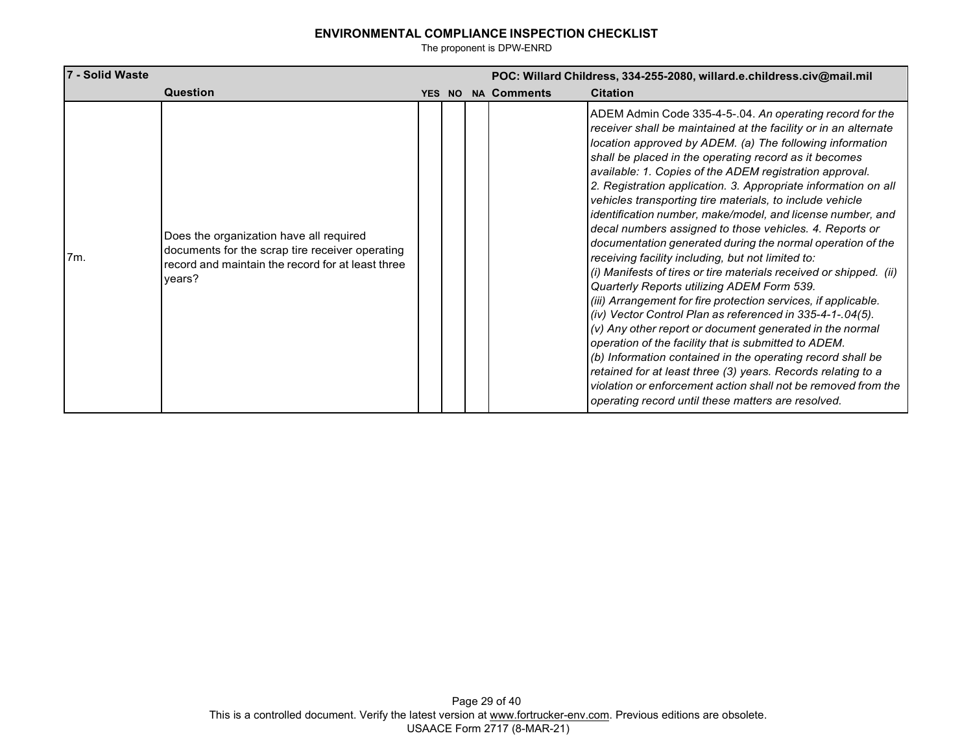| 7 - Solid Waste |                                                                                                                                                           | POC: Willard Childress, 334-255-2080, willard.e.childress.civ@mail.mil |        |  |                    |                                                                                                                                                                                                                                                                                                                                                                                                                                                                                                                                                                                                                                                                                                                                                                                                                                                                                                                                                                                                                                                                                                                                                                                                                                                                                                                   |  |  |  |  |
|-----------------|-----------------------------------------------------------------------------------------------------------------------------------------------------------|------------------------------------------------------------------------|--------|--|--------------------|-------------------------------------------------------------------------------------------------------------------------------------------------------------------------------------------------------------------------------------------------------------------------------------------------------------------------------------------------------------------------------------------------------------------------------------------------------------------------------------------------------------------------------------------------------------------------------------------------------------------------------------------------------------------------------------------------------------------------------------------------------------------------------------------------------------------------------------------------------------------------------------------------------------------------------------------------------------------------------------------------------------------------------------------------------------------------------------------------------------------------------------------------------------------------------------------------------------------------------------------------------------------------------------------------------------------|--|--|--|--|
|                 | Question                                                                                                                                                  |                                                                        | YES NO |  | <b>NA Comments</b> | <b>Citation</b>                                                                                                                                                                                                                                                                                                                                                                                                                                                                                                                                                                                                                                                                                                                                                                                                                                                                                                                                                                                                                                                                                                                                                                                                                                                                                                   |  |  |  |  |
| 7m.             | Does the organization have all required<br>documents for the scrap tire receiver operating<br>record and maintain the record for at least three<br>years? |                                                                        |        |  |                    | ADEM Admin Code 335-4-5-.04. An operating record for the<br>receiver shall be maintained at the facility or in an alternate<br>location approved by ADEM. (a) The following information<br>shall be placed in the operating record as it becomes<br>available: 1. Copies of the ADEM registration approval.<br>2. Registration application. 3. Appropriate information on all<br>vehicles transporting tire materials, to include vehicle<br>identification number, make/model, and license number, and<br>decal numbers assigned to those vehicles. 4. Reports or<br>documentation generated during the normal operation of the<br>receiving facility including, but not limited to:<br>(i) Manifests of tires or tire materials received or shipped. (ii)<br>Quarterly Reports utilizing ADEM Form 539.<br>(iii) Arrangement for fire protection services, if applicable.<br>(iv) Vector Control Plan as referenced in 335-4-1-.04(5).<br>(v) Any other report or document generated in the normal<br>operation of the facility that is submitted to ADEM.<br>(b) Information contained in the operating record shall be<br>retained for at least three (3) years. Records relating to a<br>violation or enforcement action shall not be removed from the<br>operating record until these matters are resolved. |  |  |  |  |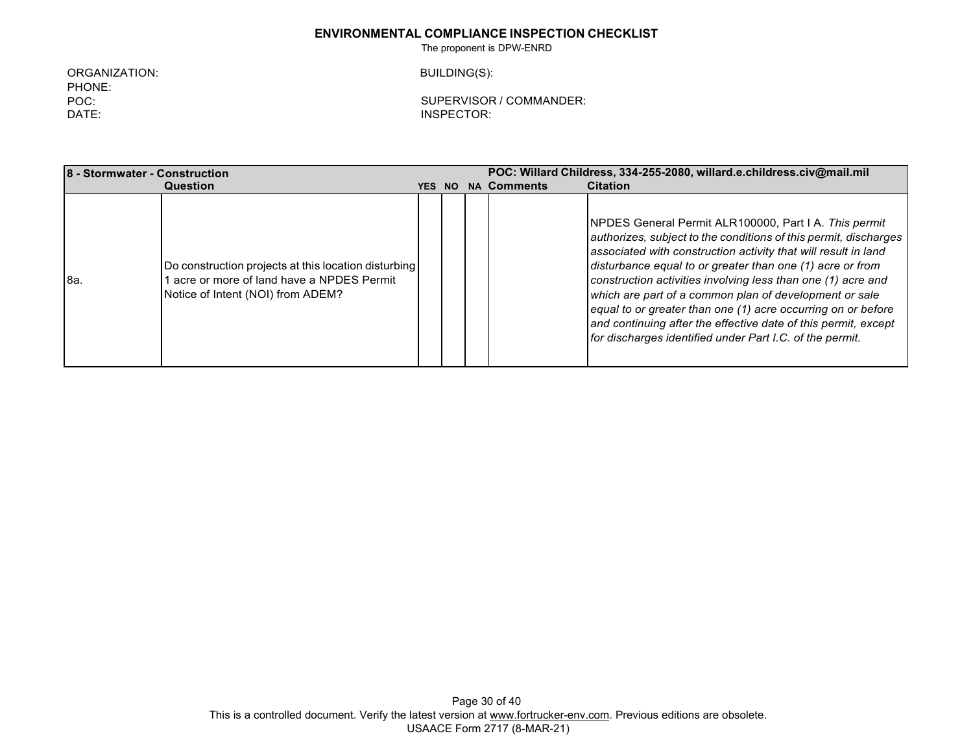The proponent is DPW-ENRD

ORGANIZATION: PHONE: POC: DATE:

BUILDING(S):

| <b>18 - Stormwater - Construction</b> |                                                                                                                                       |            |           |  | POC: Willard Childress, 334-255-2080, willard.e.childress.civ@mail.mil |                                                                                                                                                                                                                                                                                                                                                                                                                                                                                                                                                                                          |  |  |  |
|---------------------------------------|---------------------------------------------------------------------------------------------------------------------------------------|------------|-----------|--|------------------------------------------------------------------------|------------------------------------------------------------------------------------------------------------------------------------------------------------------------------------------------------------------------------------------------------------------------------------------------------------------------------------------------------------------------------------------------------------------------------------------------------------------------------------------------------------------------------------------------------------------------------------------|--|--|--|
|                                       | Question                                                                                                                              | <b>YES</b> | <b>NO</b> |  | <b>NA Comments</b>                                                     | <b>Citation</b>                                                                                                                                                                                                                                                                                                                                                                                                                                                                                                                                                                          |  |  |  |
| l8a.                                  | Do construction projects at this location disturbing<br>acre or more of land have a NPDES Permit<br>Notice of Intent (NOI) from ADEM? |            |           |  |                                                                        | <b>INPDES General Permit ALR100000, Part I A. This permit</b><br>authorizes, subject to the conditions of this permit, discharges<br>associated with construction activity that will result in land<br>disturbance equal to or greater than one (1) acre or from<br>construction activities involving less than one (1) acre and<br>which are part of a common plan of development or sale<br>equal to or greater than one (1) acre occurring on or before<br>and continuing after the effective date of this permit, except<br>for discharges identified under Part I.C. of the permit. |  |  |  |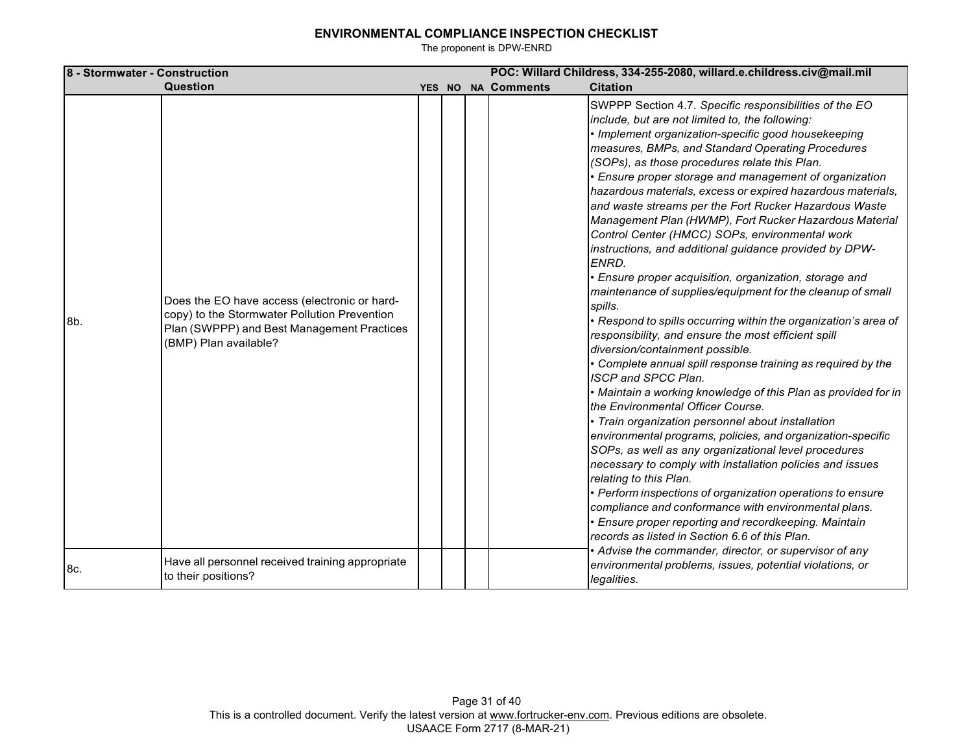| 8 - Stormwater - Construction |                                                                                                                                                                     |  |                    | POC: Willard Childress, 334-255-2080, willard.e.childress.civ@mail.mil                                                                                                                                                                                                                                                                                                                                                                                                                                                                                                                                                                                                                                                                                                                                                                                                                                                                                                                                                                                                                                                                                                                                                                                                                                                                                                                                                                                                                                                                                                                                                                                                                              |
|-------------------------------|---------------------------------------------------------------------------------------------------------------------------------------------------------------------|--|--------------------|-----------------------------------------------------------------------------------------------------------------------------------------------------------------------------------------------------------------------------------------------------------------------------------------------------------------------------------------------------------------------------------------------------------------------------------------------------------------------------------------------------------------------------------------------------------------------------------------------------------------------------------------------------------------------------------------------------------------------------------------------------------------------------------------------------------------------------------------------------------------------------------------------------------------------------------------------------------------------------------------------------------------------------------------------------------------------------------------------------------------------------------------------------------------------------------------------------------------------------------------------------------------------------------------------------------------------------------------------------------------------------------------------------------------------------------------------------------------------------------------------------------------------------------------------------------------------------------------------------------------------------------------------------------------------------------------------------|
|                               | Question                                                                                                                                                            |  | YES NO NA Comments | <b>Citation</b>                                                                                                                                                                                                                                                                                                                                                                                                                                                                                                                                                                                                                                                                                                                                                                                                                                                                                                                                                                                                                                                                                                                                                                                                                                                                                                                                                                                                                                                                                                                                                                                                                                                                                     |
| 8b.                           | Does the EO have access (electronic or hard-<br>copy) to the Stormwater Pollution Prevention<br>Plan (SWPPP) and Best Management Practices<br>(BMP) Plan available? |  |                    | SWPPP Section 4.7. Specific responsibilities of the EO<br>include, but are not limited to, the following:<br>• Implement organization-specific good housekeeping<br>measures, BMPs, and Standard Operating Procedures<br>(SOPs), as those procedures relate this Plan.<br>• Ensure proper storage and management of organization<br>hazardous materials, excess or expired hazardous materials,<br>and waste streams per the Fort Rucker Hazardous Waste<br>Management Plan (HWMP), Fort Rucker Hazardous Material<br>Control Center (HMCC) SOPs, environmental work<br>instructions, and additional guidance provided by DPW-<br>ENRD.<br>· Ensure proper acquisition, organization, storage and<br>maintenance of supplies/equipment for the cleanup of small<br>spills.<br>• Respond to spills occurring within the organization's area of<br>responsibility, and ensure the most efficient spill<br>diversion/containment possible.<br>• Complete annual spill response training as required by the<br>ISCP and SPCC Plan.<br>• Maintain a working knowledge of this Plan as provided for in<br>the Environmental Officer Course.<br>· Train organization personnel about installation<br>environmental programs, policies, and organization-specific<br>SOPs, as well as any organizational level procedures<br>necessary to comply with installation policies and issues<br>relating to this Plan.<br>• Perform inspections of organization operations to ensure<br>compliance and conformance with environmental plans.<br>• Ensure proper reporting and recordkeeping. Maintain<br>records as listed in Section 6.6 of this Plan.<br>• Advise the commander, director, or supervisor of any |
| 8c.                           | Have all personnel received training appropriate<br>to their positions?                                                                                             |  |                    | environmental problems, issues, potential violations, or<br>legalities.                                                                                                                                                                                                                                                                                                                                                                                                                                                                                                                                                                                                                                                                                                                                                                                                                                                                                                                                                                                                                                                                                                                                                                                                                                                                                                                                                                                                                                                                                                                                                                                                                             |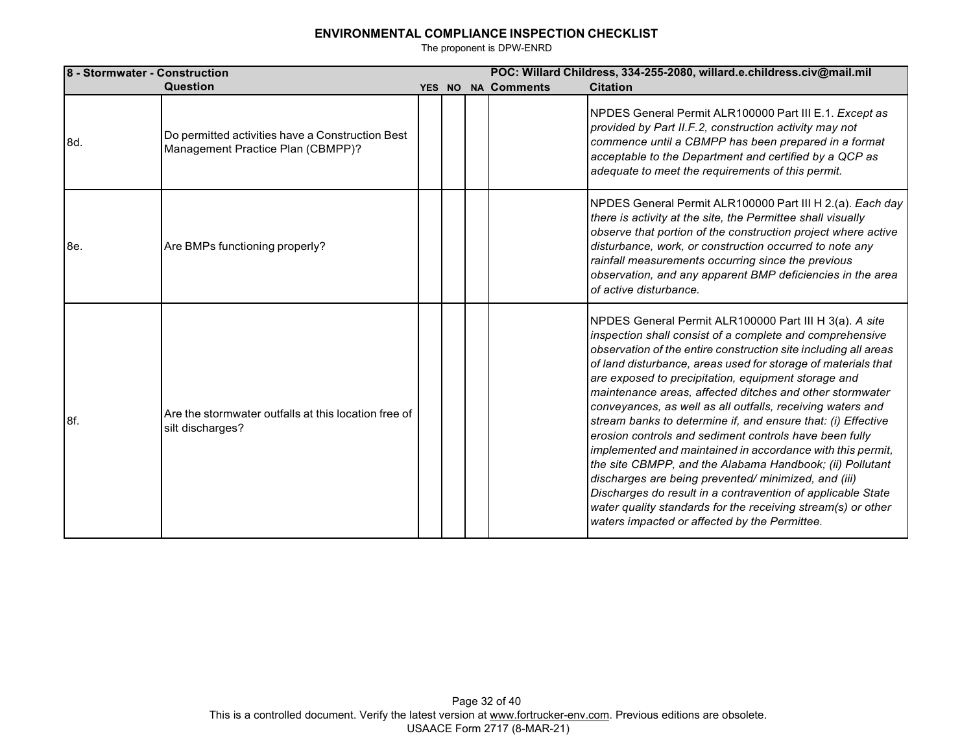| 8 - Stormwater - Construction |                                                                                       |  | POC: Willard Childress, 334-255-2080, willard.e.childress.civ@mail.mil |  |                    |                                                                                                                                                                                                                                                                                                                                                                                                                                                                                                                                                                                                                                                                                                                                                                                                                                                                                                                                    |  |
|-------------------------------|---------------------------------------------------------------------------------------|--|------------------------------------------------------------------------|--|--------------------|------------------------------------------------------------------------------------------------------------------------------------------------------------------------------------------------------------------------------------------------------------------------------------------------------------------------------------------------------------------------------------------------------------------------------------------------------------------------------------------------------------------------------------------------------------------------------------------------------------------------------------------------------------------------------------------------------------------------------------------------------------------------------------------------------------------------------------------------------------------------------------------------------------------------------------|--|
|                               | Question                                                                              |  |                                                                        |  | YES NO NA Comments | <b>Citation</b>                                                                                                                                                                                                                                                                                                                                                                                                                                                                                                                                                                                                                                                                                                                                                                                                                                                                                                                    |  |
| 8d.                           | Do permitted activities have a Construction Best<br>Management Practice Plan (CBMPP)? |  |                                                                        |  |                    | NPDES General Permit ALR100000 Part III E.1. Except as<br>provided by Part II.F.2, construction activity may not<br>commence until a CBMPP has been prepared in a format<br>acceptable to the Department and certified by a QCP as<br>adequate to meet the requirements of this permit.                                                                                                                                                                                                                                                                                                                                                                                                                                                                                                                                                                                                                                            |  |
| l8e.                          | Are BMPs functioning properly?                                                        |  |                                                                        |  |                    | NPDES General Permit ALR100000 Part III H 2.(a). Each day<br>there is activity at the site, the Permittee shall visually<br>observe that portion of the construction project where active<br>disturbance, work, or construction occurred to note any<br>rainfall measurements occurring since the previous<br>observation, and any apparent BMP deficiencies in the area<br>of active disturbance.                                                                                                                                                                                                                                                                                                                                                                                                                                                                                                                                 |  |
| 8f.                           | Are the stormwater outfalls at this location free of<br>silt discharges?              |  |                                                                        |  |                    | NPDES General Permit ALR100000 Part III H 3(a). A site<br>inspection shall consist of a complete and comprehensive<br>observation of the entire construction site including all areas<br>of land disturbance, areas used for storage of materials that<br>are exposed to precipitation, equipment storage and<br>maintenance areas, affected ditches and other stormwater<br>conveyances, as well as all outfalls, receiving waters and<br>stream banks to determine if, and ensure that: (i) Effective<br>erosion controls and sediment controls have been fully<br>implemented and maintained in accordance with this permit,<br>the site CBMPP, and the Alabama Handbook; (ii) Pollutant<br>discharges are being prevented/minimized, and (iii)<br>Discharges do result in a contravention of applicable State<br>water quality standards for the receiving stream(s) or other<br>waters impacted or affected by the Permittee. |  |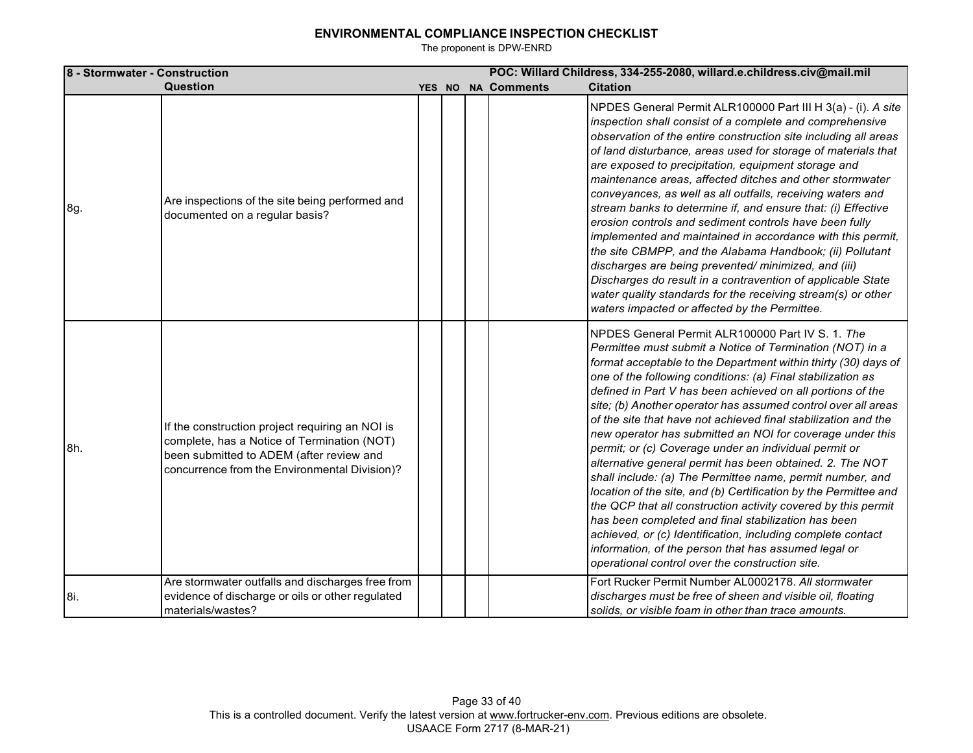| 8 - Stormwater - Construction |                                                                                                                                                                                             |        |  |                    | POC: Willard Childress, 334-255-2080, willard.e.childress.civ@mail.mil                                                                                                                                                                                                                                                                                                                                                                                                                                                                                                                                                                                                                                                                                                                                                                                                                                                                                                                                                                                              |
|-------------------------------|---------------------------------------------------------------------------------------------------------------------------------------------------------------------------------------------|--------|--|--------------------|---------------------------------------------------------------------------------------------------------------------------------------------------------------------------------------------------------------------------------------------------------------------------------------------------------------------------------------------------------------------------------------------------------------------------------------------------------------------------------------------------------------------------------------------------------------------------------------------------------------------------------------------------------------------------------------------------------------------------------------------------------------------------------------------------------------------------------------------------------------------------------------------------------------------------------------------------------------------------------------------------------------------------------------------------------------------|
|                               | Question                                                                                                                                                                                    | YES NO |  | <b>NA Comments</b> | <b>Citation</b>                                                                                                                                                                                                                                                                                                                                                                                                                                                                                                                                                                                                                                                                                                                                                                                                                                                                                                                                                                                                                                                     |
| 8g.                           | Are inspections of the site being performed and<br>documented on a regular basis?                                                                                                           |        |  |                    | NPDES General Permit ALR100000 Part III H 3(a) - (i). A site<br>inspection shall consist of a complete and comprehensive<br>observation of the entire construction site including all areas<br>of land disturbance, areas used for storage of materials that<br>are exposed to precipitation, equipment storage and<br>maintenance areas, affected ditches and other stormwater<br>conveyances, as well as all outfalls, receiving waters and<br>stream banks to determine if, and ensure that: (i) Effective<br>erosion controls and sediment controls have been fully<br>implemented and maintained in accordance with this permit,<br>the site CBMPP, and the Alabama Handbook; (ii) Pollutant<br>discharges are being prevented/minimized, and (iii)<br>Discharges do result in a contravention of applicable State<br>water quality standards for the receiving stream(s) or other<br>waters impacted or affected by the Permittee.                                                                                                                            |
| 8h.                           | If the construction project requiring an NOI is<br>complete, has a Notice of Termination (NOT)<br>been submitted to ADEM (after review and<br>concurrence from the Environmental Division)? |        |  |                    | NPDES General Permit ALR100000 Part IV S. 1. The<br>Permittee must submit a Notice of Termination (NOT) in a<br>format acceptable to the Department within thirty (30) days of<br>one of the following conditions: (a) Final stabilization as<br>defined in Part V has been achieved on all portions of the<br>site; (b) Another operator has assumed control over all areas<br>of the site that have not achieved final stabilization and the<br>new operator has submitted an NOI for coverage under this<br>permit; or (c) Coverage under an individual permit or<br>alternative general permit has been obtained. 2. The NOT<br>shall include: (a) The Permittee name, permit number, and<br>location of the site, and (b) Certification by the Permittee and<br>the QCP that all construction activity covered by this permit<br>has been completed and final stabilization has been<br>achieved, or (c) Identification, including complete contact<br>information, of the person that has assumed legal or<br>operational control over the construction site. |
| 8i.                           | Are stormwater outfalls and discharges free from<br>evidence of discharge or oils or other regulated<br>materials/wastes?                                                                   |        |  |                    | Fort Rucker Permit Number AL0002178. All stormwater<br>discharges must be free of sheen and visible oil, floating<br>solids, or visible foam in other than trace amounts.                                                                                                                                                                                                                                                                                                                                                                                                                                                                                                                                                                                                                                                                                                                                                                                                                                                                                           |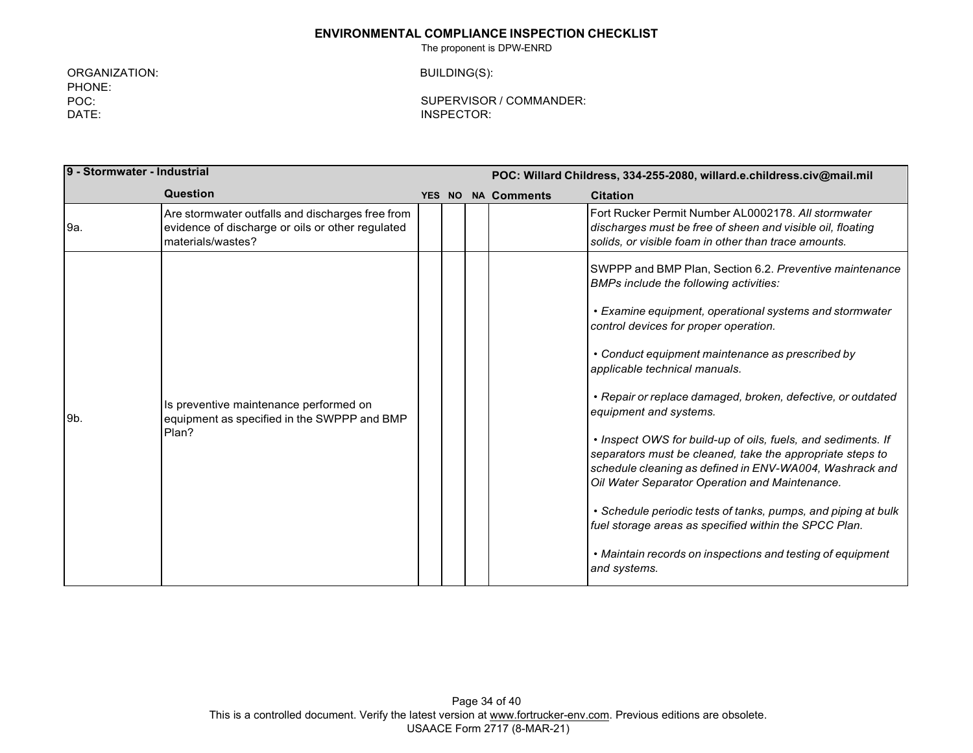The proponent is DPW-ENRD

ORGANIZATION: PHONE: POC: DATE:

BUILDING(S):

| 9 - Stormwater - Industrial |                                                                                                                           | POC: Willard Childress, 334-255-2080, willard.e.childress.civ@mail.mil |  |                           |                                                                                                                                                                                                                                                                                                                                                                                                                                                                                                                                                                          |
|-----------------------------|---------------------------------------------------------------------------------------------------------------------------|------------------------------------------------------------------------|--|---------------------------|--------------------------------------------------------------------------------------------------------------------------------------------------------------------------------------------------------------------------------------------------------------------------------------------------------------------------------------------------------------------------------------------------------------------------------------------------------------------------------------------------------------------------------------------------------------------------|
|                             | Question                                                                                                                  |                                                                        |  | <b>YES NO NA Comments</b> | <b>Citation</b>                                                                                                                                                                                                                                                                                                                                                                                                                                                                                                                                                          |
| 9a.                         | Are stormwater outfalls and discharges free from<br>evidence of discharge or oils or other regulated<br>materials/wastes? |                                                                        |  |                           | Fort Rucker Permit Number AL0002178. All stormwater<br>discharges must be free of sheen and visible oil, floating<br>solids, or visible foam in other than trace amounts.                                                                                                                                                                                                                                                                                                                                                                                                |
|                             |                                                                                                                           |                                                                        |  |                           | SWPPP and BMP Plan, Section 6.2. Preventive maintenance<br>BMPs include the following activities:<br>• Examine equipment, operational systems and stormwater<br>control devices for proper operation.<br>• Conduct equipment maintenance as prescribed by                                                                                                                                                                                                                                                                                                                |
| 9b.                         | Is preventive maintenance performed on<br>equipment as specified in the SWPPP and BMP<br>Plan?                            |                                                                        |  |                           | applicable technical manuals.<br>• Repair or replace damaged, broken, defective, or outdated<br>equipment and systems.<br>• Inspect OWS for build-up of oils, fuels, and sediments. If<br>separators must be cleaned, take the appropriate steps to<br>schedule cleaning as defined in ENV-WA004, Washrack and<br>Oil Water Separator Operation and Maintenance.<br>• Schedule periodic tests of tanks, pumps, and piping at bulk<br>fuel storage areas as specified within the SPCC Plan.<br>• Maintain records on inspections and testing of equipment<br>and systems. |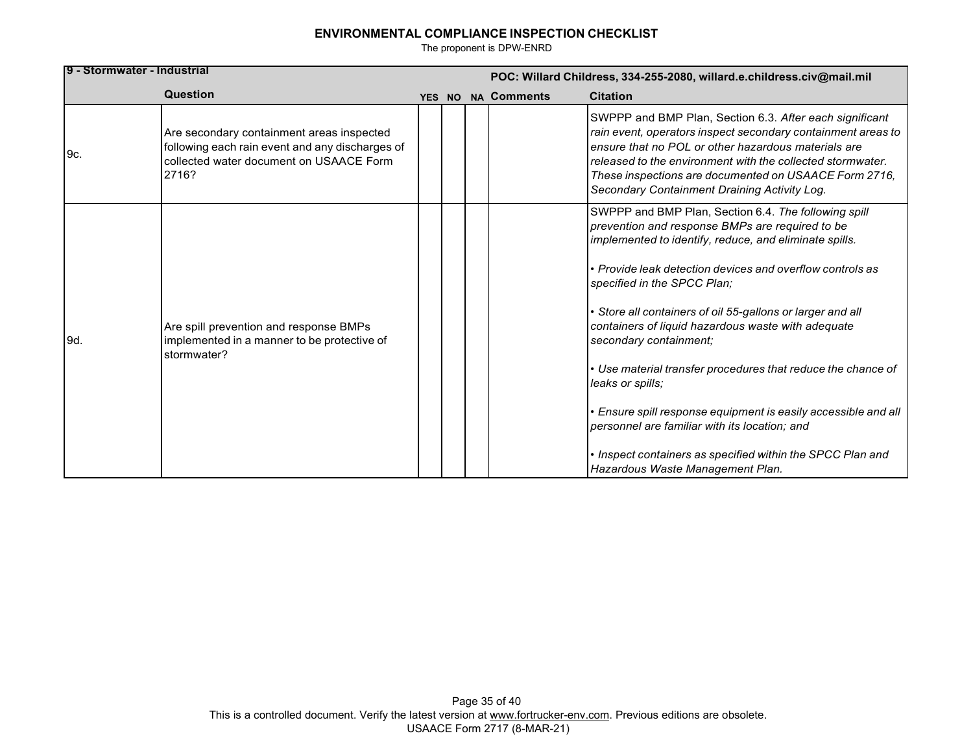| 19 - Stormwater - Industrial |                                                                                                                                                  | POC: Willard Childress, 334-255-2080, willard.e.childress.civ@mail.mil |  |                    |                                                                                                                                                                                                                                                                                                                                                                                                                                                                                                                                                                                                                                                                                                                    |
|------------------------------|--------------------------------------------------------------------------------------------------------------------------------------------------|------------------------------------------------------------------------|--|--------------------|--------------------------------------------------------------------------------------------------------------------------------------------------------------------------------------------------------------------------------------------------------------------------------------------------------------------------------------------------------------------------------------------------------------------------------------------------------------------------------------------------------------------------------------------------------------------------------------------------------------------------------------------------------------------------------------------------------------------|
|                              | Question                                                                                                                                         |                                                                        |  | YES NO NA Comments | <b>Citation</b>                                                                                                                                                                                                                                                                                                                                                                                                                                                                                                                                                                                                                                                                                                    |
| 9c.                          | Are secondary containment areas inspected<br>following each rain event and any discharges of<br>collected water document on USAACE Form<br>2716? |                                                                        |  |                    | SWPPP and BMP Plan, Section 6.3. After each significant<br>rain event, operators inspect secondary containment areas to<br>ensure that no POL or other hazardous materials are<br>released to the environment with the collected stormwater.<br>These inspections are documented on USAACE Form 2716,<br>Secondary Containment Draining Activity Log.                                                                                                                                                                                                                                                                                                                                                              |
| 9d.                          | Are spill prevention and response BMPs<br>implemented in a manner to be protective of<br>stormwater?                                             |                                                                        |  |                    | SWPPP and BMP Plan, Section 6.4. The following spill<br>prevention and response BMPs are required to be<br>implemented to identify, reduce, and eliminate spills.<br>• Provide leak detection devices and overflow controls as<br>specified in the SPCC Plan;<br>Store all containers of oil 55-gallons or larger and all<br>containers of liquid hazardous waste with adequate<br>secondary containment;<br>• Use material transfer procedures that reduce the chance of<br>leaks or spills:<br>• Ensure spill response equipment is easily accessible and all<br>personnel are familiar with its location; and<br>• Inspect containers as specified within the SPCC Plan and<br>Hazardous Waste Management Plan. |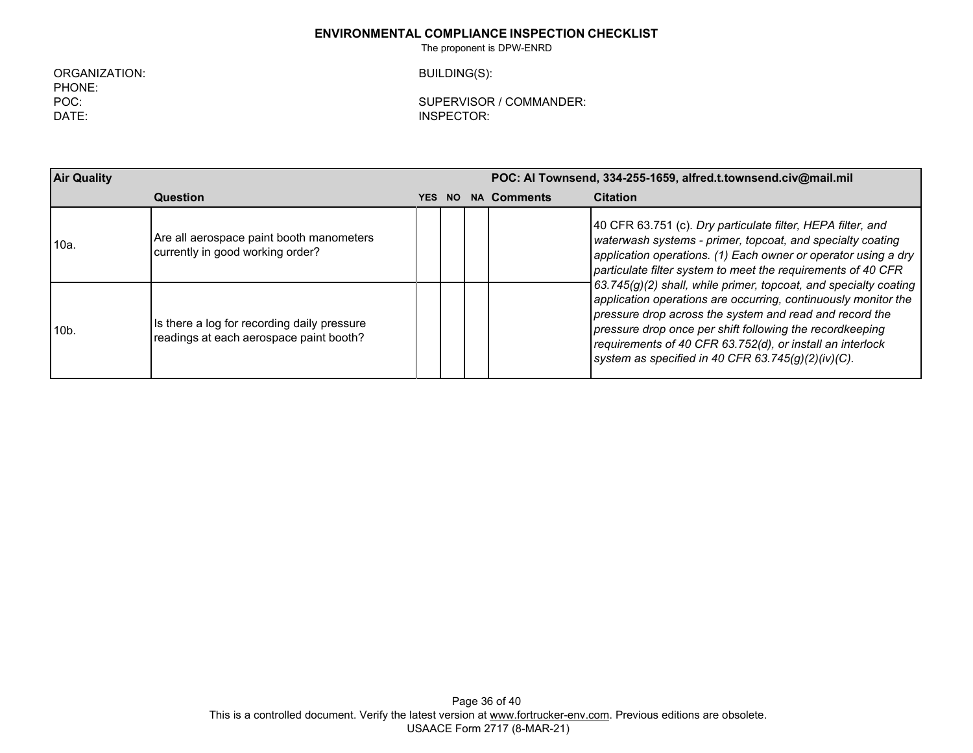The proponent is DPW-ENRD

ORGANIZATION: PHONE: POC: DATE:

BUILDING(S):

| <b>Air Quality</b> |                                                                                        | POC: Al Townsend, 334-255-1659, alfred.t.townsend.civ@mail.mil |  |                    |                                                                                                                                                                                                                                                                                                                                                                                 |
|--------------------|----------------------------------------------------------------------------------------|----------------------------------------------------------------|--|--------------------|---------------------------------------------------------------------------------------------------------------------------------------------------------------------------------------------------------------------------------------------------------------------------------------------------------------------------------------------------------------------------------|
|                    | Question                                                                               | <b>YES NO</b>                                                  |  | <b>NA Comments</b> | <b>Citation</b>                                                                                                                                                                                                                                                                                                                                                                 |
| 10a.               | Are all aerospace paint booth manometers<br>currently in good working order?           |                                                                |  |                    | 40 CFR 63.751 (c). Dry particulate filter, HEPA filter, and<br>waterwash systems - primer, topcoat, and specialty coating<br>application operations. (1) Each owner or operator using a dry<br>particulate filter system to meet the requirements of 40 CFR                                                                                                                     |
| 10 <sub>b</sub>    | Is there a log for recording daily pressure<br>readings at each aerospace paint booth? |                                                                |  |                    | $(63.745(g)(2)$ shall, while primer, topcoat, and specialty coating<br>application operations are occurring, continuously monitor the<br>pressure drop across the system and read and record the<br>pressure drop once per shift following the recordkeeping<br>requirements of 40 CFR 63.752(d), or install an interlock<br>system as specified in 40 CFR 63.745(g)(2)(iv)(C). |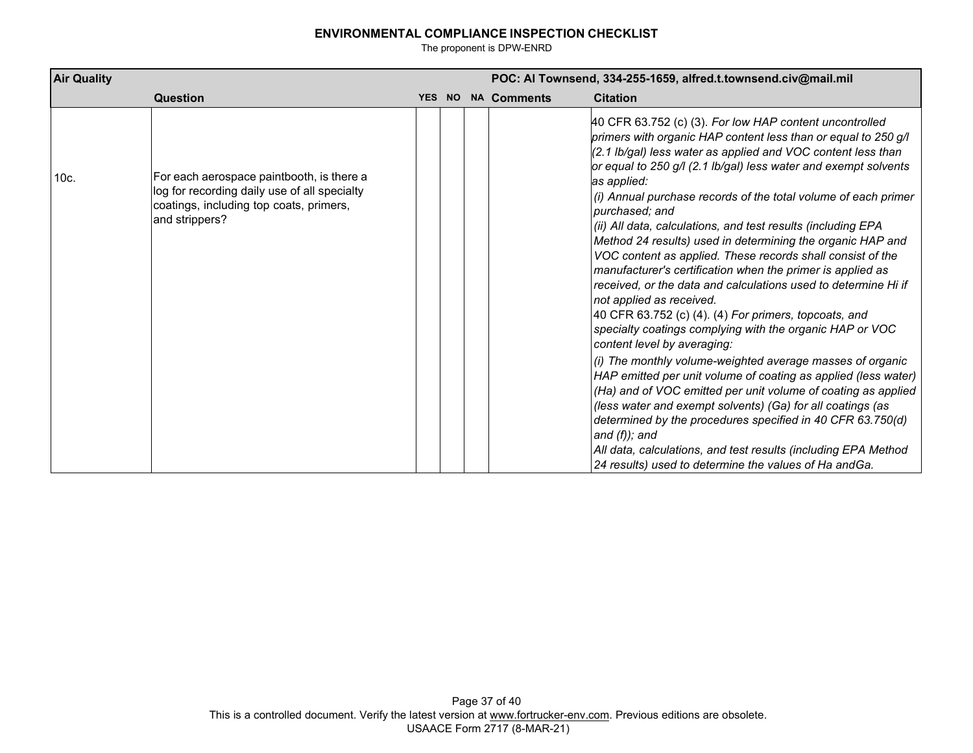| <b>Air Quality</b> |                                                                                                                                                        |  |  |  |                    | POC: Al Townsend, 334-255-1659, alfred.t.townsend.civ@mail.mil                                                                                                                                                                                                                                                                              |  |  |
|--------------------|--------------------------------------------------------------------------------------------------------------------------------------------------------|--|--|--|--------------------|---------------------------------------------------------------------------------------------------------------------------------------------------------------------------------------------------------------------------------------------------------------------------------------------------------------------------------------------|--|--|
|                    | Question                                                                                                                                               |  |  |  | YES NO NA Comments | <b>Citation</b>                                                                                                                                                                                                                                                                                                                             |  |  |
| 10c.               | For each aerospace paintbooth, is there a<br>log for recording daily use of all specialty<br>coatings, including top coats, primers,<br>and strippers? |  |  |  |                    | 40 CFR 63.752 (c) (3). For low HAP content uncontrolled<br>primers with organic HAP content less than or equal to 250 g/l<br>(2.1 lb/gal) less water as applied and VOC content less than<br>or equal to 250 g/l (2.1 lb/gal) less water and exempt solvents<br>as applied:                                                                 |  |  |
|                    |                                                                                                                                                        |  |  |  |                    | (i) Annual purchase records of the total volume of each primer<br>purchased; and<br>(ii) All data, calculations, and test results (including EPA                                                                                                                                                                                            |  |  |
|                    |                                                                                                                                                        |  |  |  |                    | Method 24 results) used in determining the organic HAP and<br>VOC content as applied. These records shall consist of the<br>manufacturer's certification when the primer is applied as<br>received, or the data and calculations used to determine Hi if                                                                                    |  |  |
|                    |                                                                                                                                                        |  |  |  |                    | not applied as received.<br>40 CFR 63.752 (c) (4). (4) For primers, topcoats, and<br>specialty coatings complying with the organic HAP or VOC<br>content level by averaging:                                                                                                                                                                |  |  |
|                    |                                                                                                                                                        |  |  |  |                    | (i) The monthly volume-weighted average masses of organic<br>HAP emitted per unit volume of coating as applied (less water)<br>(Ha) and of VOC emitted per unit volume of coating as applied<br>(less water and exempt solvents) (Ga) for all coatings (as<br>determined by the procedures specified in 40 CFR 63.750(d)<br>and $(f)$ ; and |  |  |
|                    |                                                                                                                                                        |  |  |  |                    | All data, calculations, and test results (including EPA Method<br>24 results) used to determine the values of Ha andGa.                                                                                                                                                                                                                     |  |  |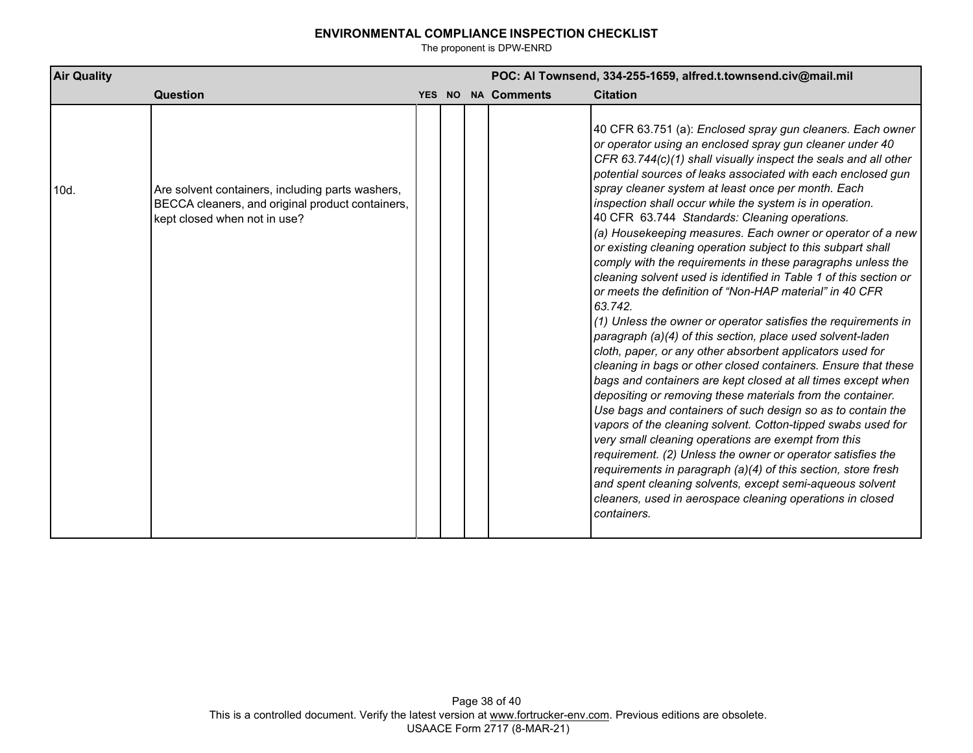| <b>Air Quality</b> |                                                                                                                                      |  | POC: Al Townsend, 334-255-1659, alfred.t.townsend.civ@mail.mil |                    |                                                                                                                                                                                                                                                                                                                                                                                                                                                                                                                                                                                                                                                                                                                                                                                                                                                                                                                                                                                                                                                                                                                                                                                                                                                                                                                                                                                                                                                                                                                                                                                                                                 |
|--------------------|--------------------------------------------------------------------------------------------------------------------------------------|--|----------------------------------------------------------------|--------------------|---------------------------------------------------------------------------------------------------------------------------------------------------------------------------------------------------------------------------------------------------------------------------------------------------------------------------------------------------------------------------------------------------------------------------------------------------------------------------------------------------------------------------------------------------------------------------------------------------------------------------------------------------------------------------------------------------------------------------------------------------------------------------------------------------------------------------------------------------------------------------------------------------------------------------------------------------------------------------------------------------------------------------------------------------------------------------------------------------------------------------------------------------------------------------------------------------------------------------------------------------------------------------------------------------------------------------------------------------------------------------------------------------------------------------------------------------------------------------------------------------------------------------------------------------------------------------------------------------------------------------------|
|                    | Question                                                                                                                             |  |                                                                | YES NO NA Comments | <b>Citation</b>                                                                                                                                                                                                                                                                                                                                                                                                                                                                                                                                                                                                                                                                                                                                                                                                                                                                                                                                                                                                                                                                                                                                                                                                                                                                                                                                                                                                                                                                                                                                                                                                                 |
| 10d.               | Are solvent containers, including parts washers,<br>BECCA cleaners, and original product containers,<br>kept closed when not in use? |  |                                                                |                    | 40 CFR 63.751 (a): Enclosed spray gun cleaners. Each owner<br>or operator using an enclosed spray gun cleaner under 40<br>CFR 63.744(c)(1) shall visually inspect the seals and all other<br>potential sources of leaks associated with each enclosed gun<br>spray cleaner system at least once per month. Each<br>inspection shall occur while the system is in operation.<br>40 CFR 63.744 Standards: Cleaning operations.<br>(a) Housekeeping measures. Each owner or operator of a new<br>or existing cleaning operation subject to this subpart shall<br>comply with the requirements in these paragraphs unless the<br>cleaning solvent used is identified in Table 1 of this section or<br>or meets the definition of "Non-HAP material" in 40 CFR<br>63.742.<br>(1) Unless the owner or operator satisfies the requirements in<br>paragraph (a)(4) of this section, place used solvent-laden<br>cloth, paper, or any other absorbent applicators used for<br>cleaning in bags or other closed containers. Ensure that these<br>bags and containers are kept closed at all times except when<br>depositing or removing these materials from the container.<br>Use bags and containers of such design so as to contain the<br>vapors of the cleaning solvent. Cotton-tipped swabs used for<br>very small cleaning operations are exempt from this<br>requirement. (2) Unless the owner or operator satisfies the<br>requirements in paragraph (a)(4) of this section, store fresh<br>and spent cleaning solvents, except semi-aqueous solvent<br>cleaners, used in aerospace cleaning operations in closed<br>containers. |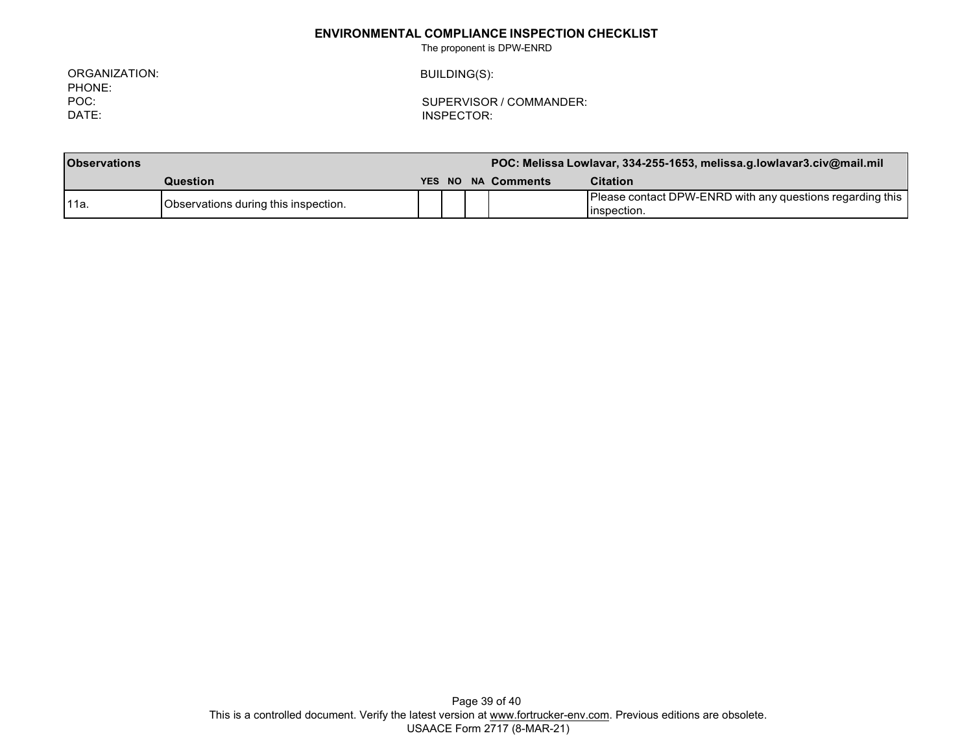The proponent is DPW-ENRD

ORGANIZATION: PHONE: POC: DATE:

BUILDING(S):

| <b>Observations</b> |                                      |  |  |  | POC: Melissa Lowlavar, 334-255-1653, melissa.g.lowlavar3.civ@mail.mil |                                                                             |  |
|---------------------|--------------------------------------|--|--|--|-----------------------------------------------------------------------|-----------------------------------------------------------------------------|--|
|                     | Question                             |  |  |  | YES NO NA Comments                                                    | <b>Citation</b>                                                             |  |
| 111a.               | Observations during this inspection. |  |  |  |                                                                       | Please contact DPW-ENRD with any questions regarding this  <br>linspection. |  |